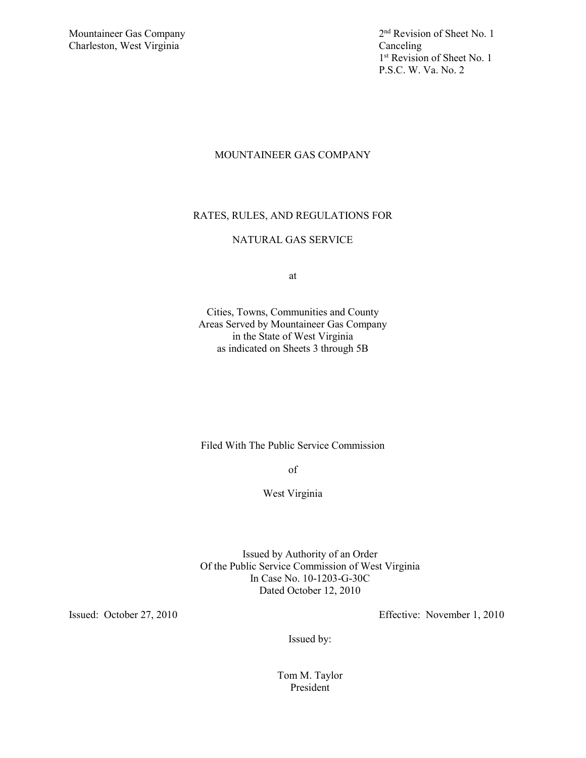Charleston, West Virginia Canceling

Mountaineer Gas Company 2<sup>nd</sup> Revision of Sheet No. 1 1<sup>st</sup> Revision of Sheet No. 1 P.S.C. W. Va. No. 2

# MOUNTAINEER GAS COMPANY

# RATES, RULES, AND REGULATIONS FOR

# NATURAL GAS SERVICE

at

Cities, Towns, Communities and County Areas Served by Mountaineer Gas Company in the State of West Virginia as indicated on Sheets 3 through 5B

Filed With The Public Service Commission

of

West Virginia

Issued by Authority of an Order Of the Public Service Commission of West Virginia In Case No. 10-1203-G-30C Dated October 12, 2010

Issued: October 27, 2010 Effective: November 1, 2010

Issued by:

Tom M. Taylor President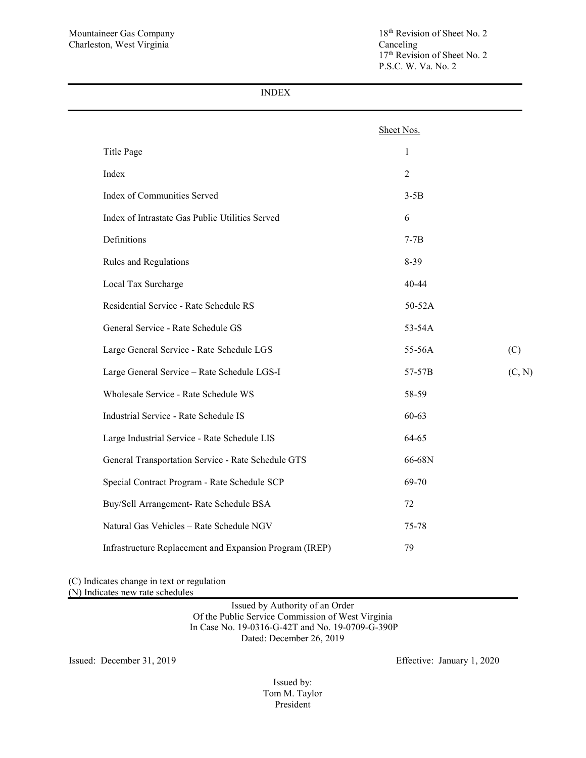17<sup>th</sup> Revision of Sheet No. 2 P.S.C. W. Va. No. 2

INDEX

|                                                         | Sheet Nos.     |        |
|---------------------------------------------------------|----------------|--------|
| Title Page                                              | 1              |        |
| Index                                                   | $\overline{2}$ |        |
| Index of Communities Served                             | $3-5B$         |        |
| Index of Intrastate Gas Public Utilities Served         | 6              |        |
| Definitions                                             | $7-7B$         |        |
| Rules and Regulations                                   | $8 - 39$       |        |
| Local Tax Surcharge                                     | 40-44          |        |
| Residential Service - Rate Schedule RS                  | 50-52A         |        |
| General Service - Rate Schedule GS                      | 53-54A         |        |
| Large General Service - Rate Schedule LGS               | 55-56A         | (C)    |
| Large General Service - Rate Schedule LGS-I             | 57-57B         | (C, N) |
| Wholesale Service - Rate Schedule WS                    | 58-59          |        |
| Industrial Service - Rate Schedule IS                   | 60-63          |        |
| Large Industrial Service - Rate Schedule LIS            | 64-65          |        |
| General Transportation Service - Rate Schedule GTS      | 66-68N         |        |
| Special Contract Program - Rate Schedule SCP            | 69-70          |        |
| Buy/Sell Arrangement- Rate Schedule BSA                 | 72             |        |
| Natural Gas Vehicles - Rate Schedule NGV                | 75-78          |        |
| Infrastructure Replacement and Expansion Program (IREP) | 79             |        |

(C) Indicates change in text or regulation (N) Indicates new rate schedules

> Issued by Authority of an Order Of the Public Service Commission of West Virginia In Case No. 19-0316-G-42T and No. 19-0709-G-390P Dated: December 26, 2019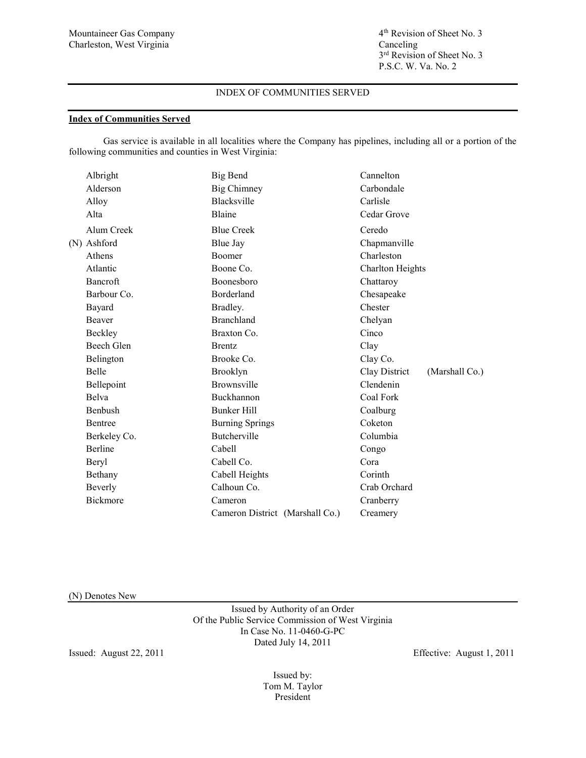3<sup>rd</sup> Revision of Sheet No. 3 P.S.C. W. Va. No. 2

## INDEX OF COMMUNITIES SERVED

### **Index of Communities Served**

Gas service is available in all localities where the Company has pipelines, including all or a portion of the following communities and counties in West Virginia:

| Albright        | Big Bend                        | Cannelton                       |
|-----------------|---------------------------------|---------------------------------|
| Alderson        | <b>Big Chimney</b>              | Carbondale                      |
| Alloy           | Blacksville                     | Carlisle                        |
| Alta            | Blaine                          | Cedar Grove                     |
| Alum Creek      | <b>Blue Creek</b>               | Ceredo                          |
| (N) Ashford     | <b>Blue Jay</b>                 | Chapmanville                    |
| Athens          | <b>Boomer</b>                   | Charleston                      |
| Atlantic        | Boone Co.                       | <b>Charlton Heights</b>         |
| Bancroft        | Boonesboro                      | Chattaroy                       |
| Barbour Co.     | Borderland                      | Chesapeake                      |
| Bayard          | Bradley.                        | Chester                         |
| Beaver          | <b>Branchland</b>               | Chelyan                         |
| Beckley         | Braxton Co.                     | Cinco                           |
| Beech Glen      | <b>Brentz</b>                   | Clay                            |
| Belington       | Brooke Co.                      | Clay Co.                        |
| <b>Belle</b>    | Brooklyn                        | Clay District<br>(Marshall Co.) |
| Bellepoint      | Brownsville                     | Clendenin                       |
| <b>Belva</b>    | Buckhannon                      | Coal Fork                       |
| Benbush         | <b>Bunker Hill</b>              | Coalburg                        |
| Bentree         | <b>Burning Springs</b>          | Coketon                         |
| Berkeley Co.    | Butcherville                    | Columbia                        |
| Berline         | Cabell                          | Congo                           |
| Beryl           | Cabell Co.                      | Cora                            |
| Bethany         | Cabell Heights                  | Corinth                         |
| Beverly         | Calhoun Co.                     | Crab Orchard                    |
| <b>Bickmore</b> | Cameron                         | Cranberry                       |
|                 | Cameron District (Marshall Co.) | Creamery                        |
|                 |                                 |                                 |

(N) Denotes New

Issued by Authority of an Order Of the Public Service Commission of West Virginia In Case No. 11-0460-G-PC Dated July 14, 2011

Issued: August 22, 2011 Effective: August 1, 2011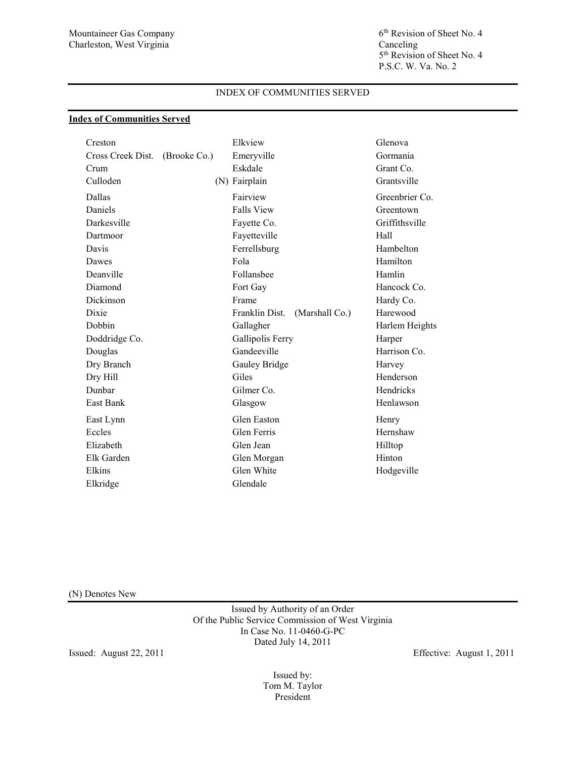5th Revision of Sheet No. 4 P.S.C. W. Va. No. 2

## INDEX OF COMMUNITIES SERVED

# **Index of Communities Served**

| Creston           |              | Elkview           |                | Glenova        |
|-------------------|--------------|-------------------|----------------|----------------|
| Cross Creek Dist. | (Brooke Co.) | Emeryville        |                | Gormania       |
| Crum              |              | Eskdale           |                | Grant Co.      |
| Culloden          |              | (N) Fairplain     |                | Grantsville    |
| Dallas            |              | Fairview          |                | Greenbrier Co. |
| Daniels           |              | <b>Falls View</b> |                | Greentown      |
| Darkesville       |              | Fayette Co.       |                | Griffithsville |
| Dartmoor          |              | Fayetteville      |                | Hall           |
| Davis             |              | Ferrellsburg      |                | Hambelton      |
| Dawes             |              | Fola              |                | Hamilton       |
| Deanville         |              | Follansbee        |                | Hamlin         |
| Diamond           |              | Fort Gay          |                | Hancock Co.    |
| Dickinson         |              | Frame             |                | Hardy Co.      |
| Dixie             |              | Franklin Dist.    | (Marshall Co.) | Harewood       |
| Dobbin            |              | Gallagher         |                | Harlem Heights |
| Doddridge Co.     |              | Gallipolis Ferry  |                | Harper         |
| Douglas           |              | Gandeeville       |                | Harrison Co.   |
| Dry Branch        |              | Gauley Bridge     |                | Harvey         |
| Dry Hill          |              | Giles             |                | Henderson      |
| Dunbar            |              | Gilmer Co.        |                | Hendricks      |
| <b>East Bank</b>  |              | Glasgow           |                | Henlawson      |
| East Lynn         |              | Glen Easton       |                | Henry          |
| Eccles            |              | Glen Ferris       |                | Hernshaw       |
| Elizabeth         |              | Glen Jean         |                | Hilltop        |
| Elk Garden        |              | Glen Morgan       |                | Hinton         |
| Elkins            |              | Glen White        |                | Hodgeville     |
| Elkridge          |              | Glendale          |                |                |

(N) Denotes New

Issued by Authority of an Order Of the Public Service Commission of West Virginia In Case No. 11-0460-G-PC Dated July 14, 2011

Issued: August 22, 2011 Effective: August 1, 2011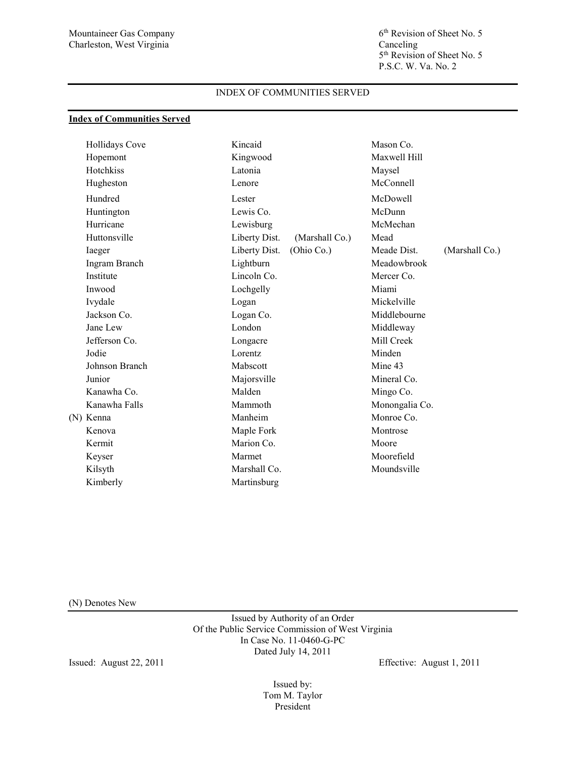5<sup>th</sup> Revision of Sheet No. 5 P.S.C. W. Va. No. 2

## INDEX OF COMMUNITIES SERVED

### **Index of Communities Served**

| Hollidays Cove | Kincaid       |                | Mason Co.      |                |
|----------------|---------------|----------------|----------------|----------------|
| Hopemont       | Kingwood      |                | Maxwell Hill   |                |
| Hotchkiss      | Latonia       |                | Maysel         |                |
| Hugheston      | Lenore        |                | McConnell      |                |
| Hundred        | Lester        |                | McDowell       |                |
| Huntington     | Lewis Co.     |                | McDunn         |                |
| Hurricane      | Lewisburg     |                | McMechan       |                |
| Huttonsville   | Liberty Dist. | (Marshall Co.) | Mead           |                |
| Iaeger         | Liberty Dist. | (Ohio Co.)     | Meade Dist.    | (Marshall Co.) |
| Ingram Branch  | Lightburn     |                | Meadowbrook    |                |
| Institute      | Lincoln Co.   |                | Mercer Co.     |                |
| Inwood         | Lochgelly     |                | Miami          |                |
| Ivydale        | Logan         |                | Mickelville    |                |
| Jackson Co.    | Logan Co.     |                | Middlebourne   |                |
| Jane Lew       | London        |                | Middleway      |                |
| Jefferson Co.  | Longacre      |                | Mill Creek     |                |
| Jodie          | Lorentz       |                | Minden         |                |
| Johnson Branch | Mabscott      |                | Mine 43        |                |
| Junior         | Majorsville   |                | Mineral Co.    |                |
| Kanawha Co.    | Malden        |                | Mingo Co.      |                |
| Kanawha Falls  | Mammoth       |                | Monongalia Co. |                |
| (N) Kenna      | Manheim       |                | Monroe Co.     |                |
| Kenova         | Maple Fork    |                | Montrose       |                |
| Kermit         | Marion Co.    |                | Moore          |                |
| Keyser         | Marmet        |                | Moorefield     |                |
| Kilsyth        | Marshall Co.  |                | Moundsville    |                |
| Kimberly       | Martinsburg   |                |                |                |

(N) Denotes New

Issued by Authority of an Order Of the Public Service Commission of West Virginia In Case No. 11-0460-G-PC Dated July 14, 2011

Issued: August 22, 2011 Effective: August 1, 2011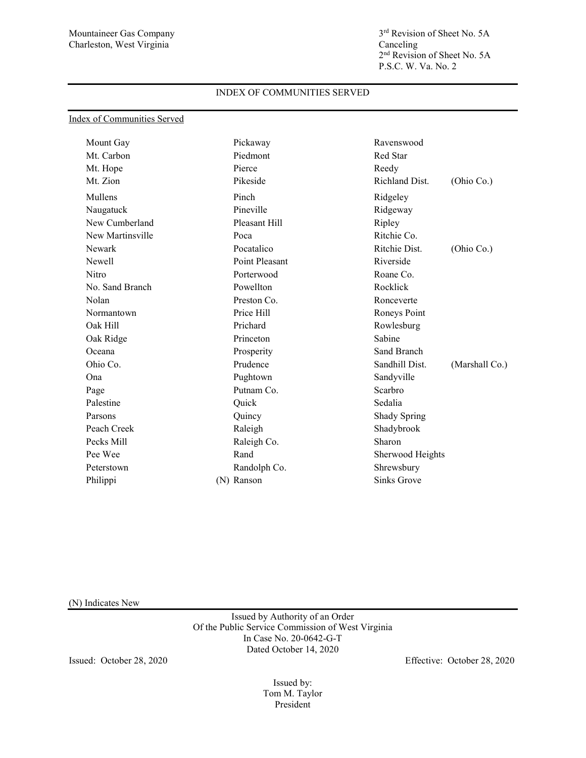Mountaineer Gas Company 3<sup>rd</sup> Revision of Sheet No. 5A<br>Charleston, West Virginia Canceling Canceling 2nd Revision of Sheet No. 5A P.S.C. W. Va. No. 2

## INDEX OF COMMUNITIES SERVED

|  | Index of Communities Served |  |
|--|-----------------------------|--|
|  |                             |  |

| Mount Gay        | Pickaway       | Ravenswood                       |
|------------------|----------------|----------------------------------|
| Mt. Carbon       | Piedmont       | Red Star                         |
| Mt. Hope         | Pierce         | Reedy                            |
| Mt. Zion         | Pikeside       | Richland Dist.<br>(Ohio Co.)     |
| Mullens          | Pinch          | Ridgeley                         |
| Naugatuck        | Pineville      | Ridgeway                         |
| New Cumberland   | Pleasant Hill  | Ripley                           |
| New Martinsville | Poca           | Ritchie Co.                      |
| Newark           | Pocatalico     | Ritchie Dist.<br>(Ohio Co.)      |
| Newell           | Point Pleasant | Riverside                        |
| Nitro            | Porterwood     | Roane Co.                        |
| No. Sand Branch  | Powellton      | Rocklick                         |
| Nolan            | Preston Co.    | Ronceverte                       |
| Normantown       | Price Hill     | Roneys Point                     |
| Oak Hill         | Prichard       | Rowlesburg                       |
| Oak Ridge        | Princeton      | Sabine                           |
| Oceana           | Prosperity     | Sand Branch                      |
| Ohio Co.         | Prudence       | Sandhill Dist.<br>(Marshall Co.) |
| Ona              | Pughtown       | Sandyville                       |
| Page             | Putnam Co.     | Scarbro                          |
| Palestine        | Quick          | Sedalia                          |
| Parsons          | Quincy         | Shady Spring                     |
| Peach Creek      | Raleigh        | Shadybrook                       |
| Pecks Mill       | Raleigh Co.    | Sharon                           |
| Pee Wee          | Rand           | Sherwood Heights                 |
| Peterstown       | Randolph Co.   | Shrewsbury                       |
| Philippi         | (N) Ranson     | <b>Sinks Grove</b>               |
|                  |                |                                  |

(N) Indicates New

Issued by Authority of an Order Of the Public Service Commission of West Virginia In Case No. 20-0642-G-T Dated October 14, 2020

Issued: October 28, 2020 Effective: October 28, 2020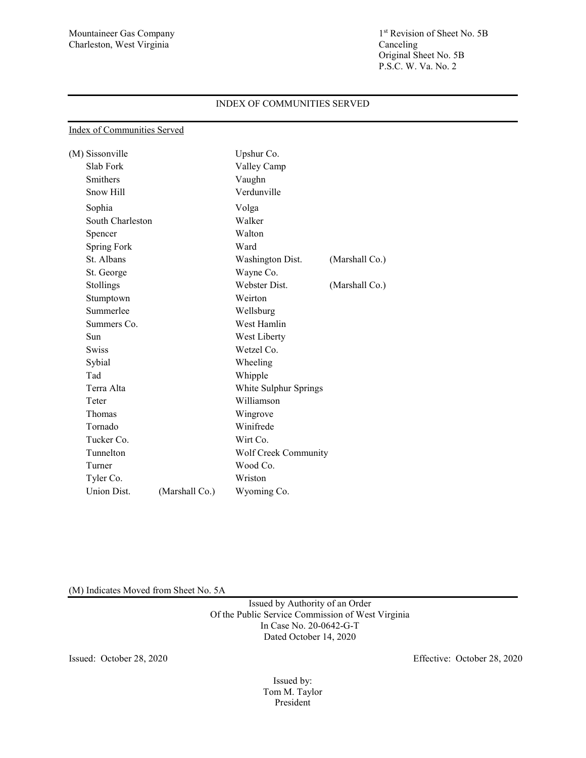Index of Communities Served

## INDEX OF COMMUNITIES SERVED

| (M) Sissonville  |                | Upshur Co.            |                |
|------------------|----------------|-----------------------|----------------|
| Slab Fork        |                | Valley Camp           |                |
| Smithers         |                | Vaughn                |                |
| Snow Hill        |                | Verdunville           |                |
| Sophia           |                | Volga                 |                |
| South Charleston |                | Walker                |                |
| Spencer          |                | Walton                |                |
| Spring Fork      |                | Ward                  |                |
| St. Albans       |                | Washington Dist.      | (Marshall Co.) |
| St. George       |                | Wayne Co.             |                |
| Stollings        |                | Webster Dist.         | (Marshall Co.) |
| Stumptown        |                | Weirton               |                |
| Summerlee        |                | Wellsburg             |                |
| Summers Co.      |                | West Hamlin           |                |
| Sun              |                | West Liberty          |                |
| <b>Swiss</b>     |                | Wetzel Co.            |                |
| Sybial           |                | Wheeling              |                |
| Tad              |                | Whipple               |                |
| Terra Alta       |                | White Sulphur Springs |                |
| Teter            |                | Williamson            |                |
| Thomas           |                | Wingrove              |                |
| Tornado          |                | Winifrede             |                |
| Tucker Co.       |                | Wirt Co.              |                |
| Tunnelton        |                | Wolf Creek Community  |                |
| Turner           |                | Wood Co.              |                |
| Tyler Co.        |                | Wriston               |                |
| Union Dist.      | (Marshall Co.) | Wyoming Co.           |                |

(M) Indicates Moved from Sheet No. 5A

Issued by Authority of an Order Of the Public Service Commission of West Virginia In Case No. 20-0642-G-T Dated October 14, 2020

Issued: October 28, 2020 Effective: October 28, 2020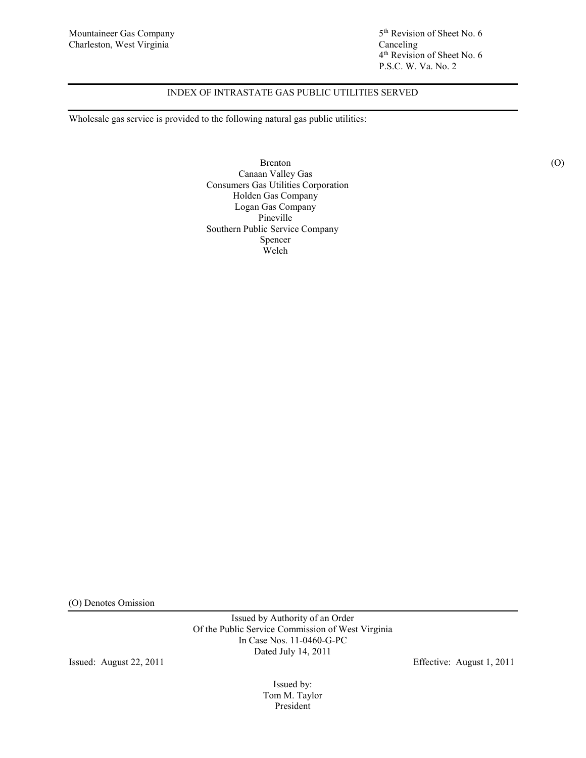4th Revision of Sheet No. 6 P.S.C. W. Va. No. 2

# INDEX OF INTRASTATE GAS PUBLIC UTILITIES SERVED

Wholesale gas service is provided to the following natural gas public utilities:

Brenton (O) Canaan Valley Gas Consumers Gas Utilities Corporation Holden Gas Company Logan Gas Company Pineville Southern Public Service Company Spencer Welch

(O) Denotes Omission

Issued by Authority of an Order Of the Public Service Commission of West Virginia In Case Nos. 11-0460-G-PC Dated July 14, 2011

Issued: August 22, 2011 Effective: August 1, 2011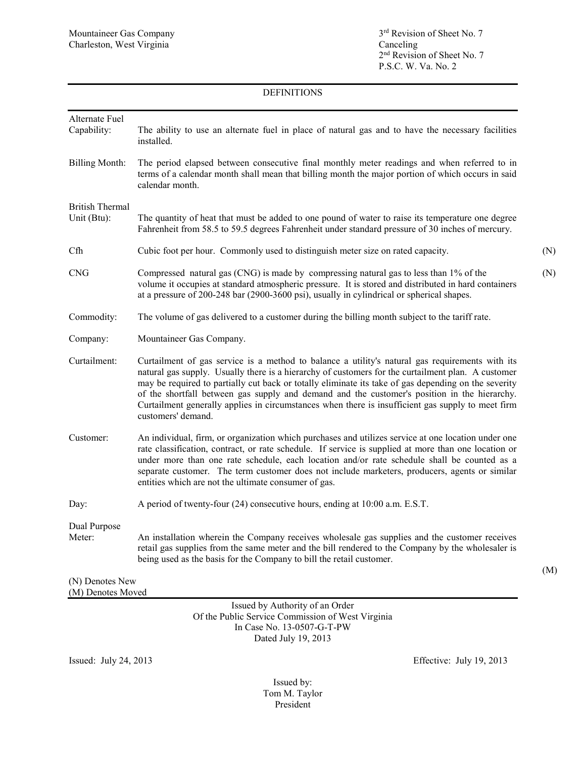# DEFINITIONS

| Alternate Fuel<br>Capability:         | The ability to use an alternate fuel in place of natural gas and to have the necessary facilities<br>installed.                                                                                                                                                                                                                                                                                                                                                                                                                          |     |
|---------------------------------------|------------------------------------------------------------------------------------------------------------------------------------------------------------------------------------------------------------------------------------------------------------------------------------------------------------------------------------------------------------------------------------------------------------------------------------------------------------------------------------------------------------------------------------------|-----|
| <b>Billing Month:</b>                 | The period elapsed between consecutive final monthly meter readings and when referred to in<br>terms of a calendar month shall mean that billing month the major portion of which occurs in said<br>calendar month.                                                                                                                                                                                                                                                                                                                      |     |
| <b>British Thermal</b><br>Unit (Btu): | The quantity of heat that must be added to one pound of water to raise its temperature one degree<br>Fahrenheit from 58.5 to 59.5 degrees Fahrenheit under standard pressure of 30 inches of mercury.                                                                                                                                                                                                                                                                                                                                    |     |
| Cfh                                   | Cubic foot per hour. Commonly used to distinguish meter size on rated capacity.                                                                                                                                                                                                                                                                                                                                                                                                                                                          | (N) |
| <b>CNG</b>                            | Compressed natural gas (CNG) is made by compressing natural gas to less than 1% of the<br>volume it occupies at standard atmospheric pressure. It is stored and distributed in hard containers<br>at a pressure of 200-248 bar (2900-3600 psi), usually in cylindrical or spherical shapes.                                                                                                                                                                                                                                              | (N) |
| Commodity:                            | The volume of gas delivered to a customer during the billing month subject to the tariff rate.                                                                                                                                                                                                                                                                                                                                                                                                                                           |     |
| Company:                              | Mountaineer Gas Company.                                                                                                                                                                                                                                                                                                                                                                                                                                                                                                                 |     |
| Curtailment:                          | Curtailment of gas service is a method to balance a utility's natural gas requirements with its<br>natural gas supply. Usually there is a hierarchy of customers for the curtailment plan. A customer<br>may be required to partially cut back or totally eliminate its take of gas depending on the severity<br>of the shortfall between gas supply and demand and the customer's position in the hierarchy.<br>Curtailment generally applies in circumstances when there is insufficient gas supply to meet firm<br>customers' demand. |     |
| Customer:                             | An individual, firm, or organization which purchases and utilizes service at one location under one<br>rate classification, contract, or rate schedule. If service is supplied at more than one location or<br>under more than one rate schedule, each location and/or rate schedule shall be counted as a<br>separate customer. The term customer does not include marketers, producers, agents or similar<br>entities which are not the ultimate consumer of gas.                                                                      |     |
| Day:                                  | A period of twenty-four (24) consecutive hours, ending at 10:00 a.m. E.S.T.                                                                                                                                                                                                                                                                                                                                                                                                                                                              |     |
| Dual Purpose<br>Meter:                | An installation wherein the Company receives wholesale gas supplies and the customer receives<br>retail gas supplies from the same meter and the bill rendered to the Company by the wholesaler is<br>being used as the basis for the Company to bill the retail customer.                                                                                                                                                                                                                                                               |     |
| (N) Denotes New                       |                                                                                                                                                                                                                                                                                                                                                                                                                                                                                                                                          | (M) |

(M) Denotes Moved

Issued by Authority of an Order Of the Public Service Commission of West Virginia In Case No. 13-0507-G-T-PW Dated July 19, 2013

Issued: July 24, 2013 Effective: July 19, 2013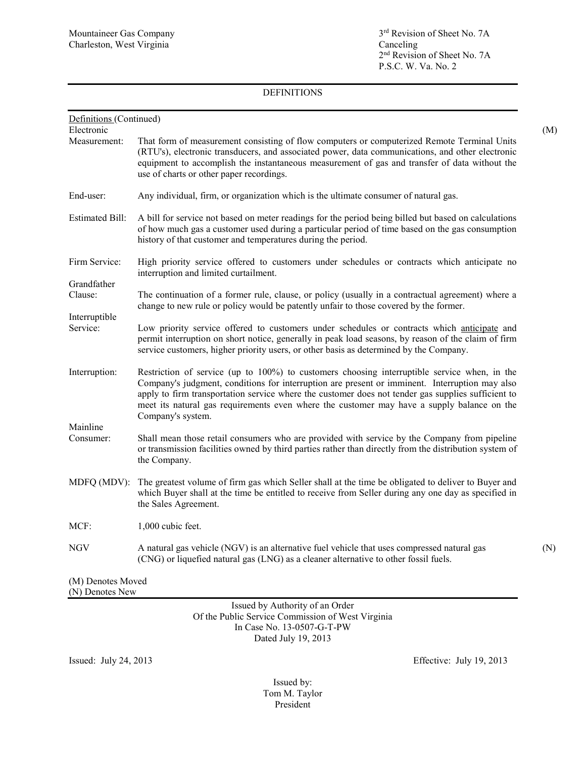Mountaineer Gas Company 3<sup>rd</sup> Revision of Sheet No. 7A<br>Charleston, West Virginia Canceling Canceling 2<sup>nd</sup> Revision of Sheet No. 7A P.S.C. W. Va. No. 2

# DEFINITIONS

| Definitions (Continued)              |                                                                                                                                                                                                                                                                                                                                                                                                                         |     |
|--------------------------------------|-------------------------------------------------------------------------------------------------------------------------------------------------------------------------------------------------------------------------------------------------------------------------------------------------------------------------------------------------------------------------------------------------------------------------|-----|
| Electronic                           |                                                                                                                                                                                                                                                                                                                                                                                                                         | (M) |
| Measurement:                         | That form of measurement consisting of flow computers or computerized Remote Terminal Units<br>(RTU's), electronic transducers, and associated power, data communications, and other electronic<br>equipment to accomplish the instantaneous measurement of gas and transfer of data without the<br>use of charts or other paper recordings.                                                                            |     |
| End-user:                            | Any individual, firm, or organization which is the ultimate consumer of natural gas.                                                                                                                                                                                                                                                                                                                                    |     |
| <b>Estimated Bill:</b>               | A bill for service not based on meter readings for the period being billed but based on calculations<br>of how much gas a customer used during a particular period of time based on the gas consumption<br>history of that customer and temperatures during the period.                                                                                                                                                 |     |
| Firm Service:                        | High priority service offered to customers under schedules or contracts which anticipate no<br>interruption and limited curtailment.                                                                                                                                                                                                                                                                                    |     |
| Grandfather<br>Clause:               | The continuation of a former rule, clause, or policy (usually in a contractual agreement) where a<br>change to new rule or policy would be patently unfair to those covered by the former.                                                                                                                                                                                                                              |     |
| Interruptible<br>Service:            | Low priority service offered to customers under schedules or contracts which anticipate and<br>permit interruption on short notice, generally in peak load seasons, by reason of the claim of firm<br>service customers, higher priority users, or other basis as determined by the Company.                                                                                                                            |     |
| Interruption:                        | Restriction of service (up to 100%) to customers choosing interruptible service when, in the<br>Company's judgment, conditions for interruption are present or imminent. Interruption may also<br>apply to firm transportation service where the customer does not tender gas supplies sufficient to<br>meet its natural gas requirements even where the customer may have a supply balance on the<br>Company's system. |     |
| Mainline<br>Consumer:                | Shall mean those retail consumers who are provided with service by the Company from pipeline<br>or transmission facilities owned by third parties rather than directly from the distribution system of<br>the Company.                                                                                                                                                                                                  |     |
| MDFQ (MDV):                          | The greatest volume of firm gas which Seller shall at the time be obligated to deliver to Buyer and<br>which Buyer shall at the time be entitled to receive from Seller during any one day as specified in<br>the Sales Agreement.                                                                                                                                                                                      |     |
| MCF:                                 | 1,000 cubic feet.                                                                                                                                                                                                                                                                                                                                                                                                       |     |
| NGV                                  | A natural gas vehicle (NGV) is an alternative fuel vehicle that uses compressed natural gas<br>(CNG) or liquefied natural gas (LNG) as a cleaner alternative to other fossil fuels.                                                                                                                                                                                                                                     | (N) |
| (M) Denotes Moved<br>(N) Denotes New |                                                                                                                                                                                                                                                                                                                                                                                                                         |     |

Issued by Authority of an Order Of the Public Service Commission of West Virginia In Case No. 13-0507-G-T-PW Dated July 19, 2013

Issued: July 24, 2013 Effective: July 19, 2013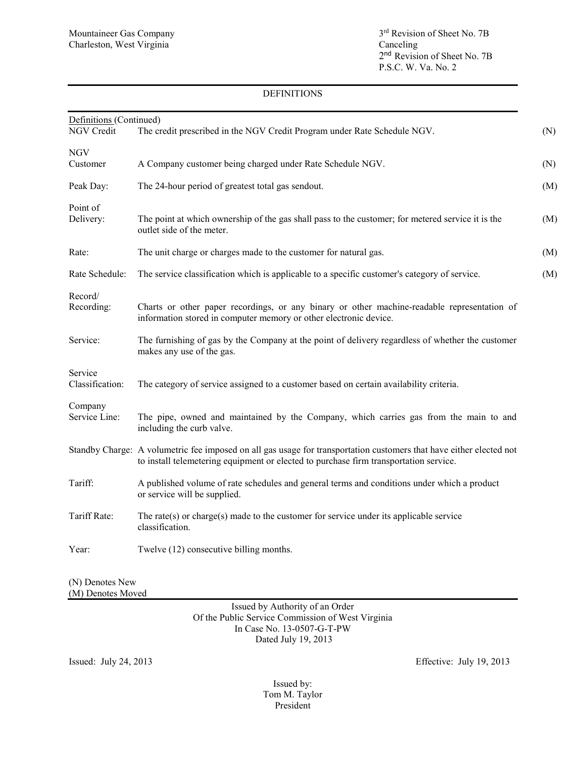### DEFINITIONS

| The credit prescribed in the NGV Credit Program under Rate Schedule NGV.<br><b>NGV</b><br>A Company customer being charged under Rate Schedule NGV.<br>The 24-hour period of greatest total gas sendout.<br>The point at which ownership of the gas shall pass to the customer; for metered service it is the<br>outlet side of the meter.<br>The unit charge or charges made to the customer for natural gas.<br>The service classification which is applicable to a specific customer's category of service.<br>Charts or other paper recordings, or any binary or other machine-readable representation of<br>information stored in computer memory or other electronic device.<br>The furnishing of gas by the Company at the point of delivery regardless of whether the customer<br>makes any use of the gas.<br>The category of service assigned to a customer based on certain availability criteria.<br>Company<br>The pipe, owned and maintained by the Company, which carries gas from the main to and<br>including the curb valve.<br>Standby Charge: A volumetric fee imposed on all gas usage for transportation customers that have either elected not<br>to install telemetering equipment or elected to purchase firm transportation service.<br>A published volume of rate schedules and general terms and conditions under which a product<br>or service will be supplied.<br>The rate(s) or charge(s) made to the customer for service under its applicable service<br>classification.<br>Twelve (12) consecutive billing months.<br>(N) Denotes New | Definitions (Continued)    |  |
|--------------------------------------------------------------------------------------------------------------------------------------------------------------------------------------------------------------------------------------------------------------------------------------------------------------------------------------------------------------------------------------------------------------------------------------------------------------------------------------------------------------------------------------------------------------------------------------------------------------------------------------------------------------------------------------------------------------------------------------------------------------------------------------------------------------------------------------------------------------------------------------------------------------------------------------------------------------------------------------------------------------------------------------------------------------------------------------------------------------------------------------------------------------------------------------------------------------------------------------------------------------------------------------------------------------------------------------------------------------------------------------------------------------------------------------------------------------------------------------------------------------------------------------------------------------------------|----------------------------|--|
|                                                                                                                                                                                                                                                                                                                                                                                                                                                                                                                                                                                                                                                                                                                                                                                                                                                                                                                                                                                                                                                                                                                                                                                                                                                                                                                                                                                                                                                                                                                                                                          | NGV Credit                 |  |
|                                                                                                                                                                                                                                                                                                                                                                                                                                                                                                                                                                                                                                                                                                                                                                                                                                                                                                                                                                                                                                                                                                                                                                                                                                                                                                                                                                                                                                                                                                                                                                          |                            |  |
|                                                                                                                                                                                                                                                                                                                                                                                                                                                                                                                                                                                                                                                                                                                                                                                                                                                                                                                                                                                                                                                                                                                                                                                                                                                                                                                                                                                                                                                                                                                                                                          | Customer                   |  |
|                                                                                                                                                                                                                                                                                                                                                                                                                                                                                                                                                                                                                                                                                                                                                                                                                                                                                                                                                                                                                                                                                                                                                                                                                                                                                                                                                                                                                                                                                                                                                                          |                            |  |
|                                                                                                                                                                                                                                                                                                                                                                                                                                                                                                                                                                                                                                                                                                                                                                                                                                                                                                                                                                                                                                                                                                                                                                                                                                                                                                                                                                                                                                                                                                                                                                          | Peak Day:                  |  |
|                                                                                                                                                                                                                                                                                                                                                                                                                                                                                                                                                                                                                                                                                                                                                                                                                                                                                                                                                                                                                                                                                                                                                                                                                                                                                                                                                                                                                                                                                                                                                                          | Point of                   |  |
|                                                                                                                                                                                                                                                                                                                                                                                                                                                                                                                                                                                                                                                                                                                                                                                                                                                                                                                                                                                                                                                                                                                                                                                                                                                                                                                                                                                                                                                                                                                                                                          | Delivery:                  |  |
|                                                                                                                                                                                                                                                                                                                                                                                                                                                                                                                                                                                                                                                                                                                                                                                                                                                                                                                                                                                                                                                                                                                                                                                                                                                                                                                                                                                                                                                                                                                                                                          | Rate:                      |  |
|                                                                                                                                                                                                                                                                                                                                                                                                                                                                                                                                                                                                                                                                                                                                                                                                                                                                                                                                                                                                                                                                                                                                                                                                                                                                                                                                                                                                                                                                                                                                                                          | Rate Schedule:             |  |
|                                                                                                                                                                                                                                                                                                                                                                                                                                                                                                                                                                                                                                                                                                                                                                                                                                                                                                                                                                                                                                                                                                                                                                                                                                                                                                                                                                                                                                                                                                                                                                          | Record/                    |  |
|                                                                                                                                                                                                                                                                                                                                                                                                                                                                                                                                                                                                                                                                                                                                                                                                                                                                                                                                                                                                                                                                                                                                                                                                                                                                                                                                                                                                                                                                                                                                                                          | Recording:                 |  |
|                                                                                                                                                                                                                                                                                                                                                                                                                                                                                                                                                                                                                                                                                                                                                                                                                                                                                                                                                                                                                                                                                                                                                                                                                                                                                                                                                                                                                                                                                                                                                                          | Service:                   |  |
|                                                                                                                                                                                                                                                                                                                                                                                                                                                                                                                                                                                                                                                                                                                                                                                                                                                                                                                                                                                                                                                                                                                                                                                                                                                                                                                                                                                                                                                                                                                                                                          | Service<br>Classification: |  |
|                                                                                                                                                                                                                                                                                                                                                                                                                                                                                                                                                                                                                                                                                                                                                                                                                                                                                                                                                                                                                                                                                                                                                                                                                                                                                                                                                                                                                                                                                                                                                                          |                            |  |
|                                                                                                                                                                                                                                                                                                                                                                                                                                                                                                                                                                                                                                                                                                                                                                                                                                                                                                                                                                                                                                                                                                                                                                                                                                                                                                                                                                                                                                                                                                                                                                          | Service Line:              |  |
|                                                                                                                                                                                                                                                                                                                                                                                                                                                                                                                                                                                                                                                                                                                                                                                                                                                                                                                                                                                                                                                                                                                                                                                                                                                                                                                                                                                                                                                                                                                                                                          |                            |  |
|                                                                                                                                                                                                                                                                                                                                                                                                                                                                                                                                                                                                                                                                                                                                                                                                                                                                                                                                                                                                                                                                                                                                                                                                                                                                                                                                                                                                                                                                                                                                                                          | Tariff:                    |  |
|                                                                                                                                                                                                                                                                                                                                                                                                                                                                                                                                                                                                                                                                                                                                                                                                                                                                                                                                                                                                                                                                                                                                                                                                                                                                                                                                                                                                                                                                                                                                                                          | Tariff Rate:               |  |
|                                                                                                                                                                                                                                                                                                                                                                                                                                                                                                                                                                                                                                                                                                                                                                                                                                                                                                                                                                                                                                                                                                                                                                                                                                                                                                                                                                                                                                                                                                                                                                          | Year:                      |  |
|                                                                                                                                                                                                                                                                                                                                                                                                                                                                                                                                                                                                                                                                                                                                                                                                                                                                                                                                                                                                                                                                                                                                                                                                                                                                                                                                                                                                                                                                                                                                                                          |                            |  |

(M) Denotes Moved

Issued by Authority of an Order Of the Public Service Commission of West Virginia In Case No. 13-0507-G-T-PW Dated July 19, 2013

Issued: July 24, 2013 Effective: July 19, 2013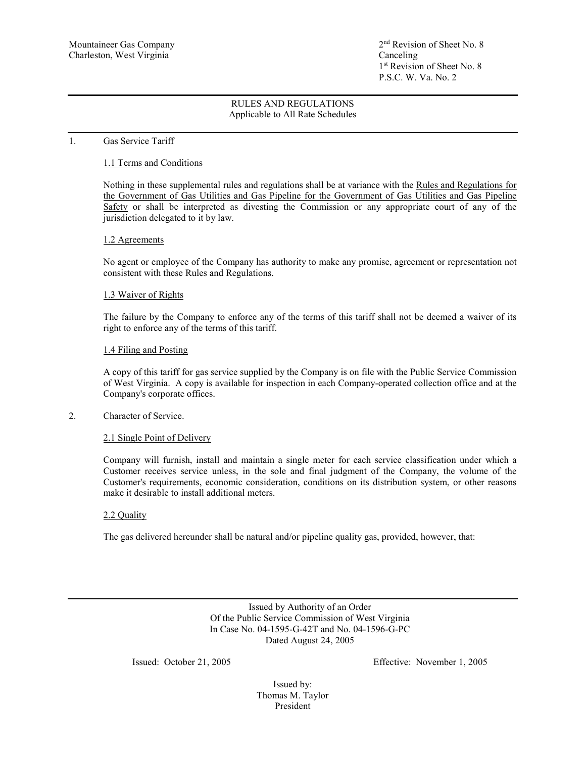### 1. Gas Service Tariff

## 1.1 Terms and Conditions

Nothing in these supplemental rules and regulations shall be at variance with the Rules and Regulations for the Government of Gas Utilities and Gas Pipeline for the Government of Gas Utilities and Gas Pipeline Safety or shall be interpreted as divesting the Commission or any appropriate court of any of the jurisdiction delegated to it by law.

### 1.2 Agreements

No agent or employee of the Company has authority to make any promise, agreement or representation not consistent with these Rules and Regulations.

### 1.3 Waiver of Rights

The failure by the Company to enforce any of the terms of this tariff shall not be deemed a waiver of its right to enforce any of the terms of this tariff.

### 1.4 Filing and Posting

A copy of this tariff for gas service supplied by the Company is on file with the Public Service Commission of West Virginia. A copy is available for inspection in each Company-operated collection office and at the Company's corporate offices.

## 2. Character of Service.

### 2.1 Single Point of Delivery

Company will furnish, install and maintain a single meter for each service classification under which a Customer receives service unless, in the sole and final judgment of the Company, the volume of the Customer's requirements, economic consideration, conditions on its distribution system, or other reasons make it desirable to install additional meters.

## 2.2 Quality

The gas delivered hereunder shall be natural and/or pipeline quality gas, provided, however, that:

Issued by Authority of an Order Of the Public Service Commission of West Virginia In Case No. 04-1595-G-42T and No. 04-1596-G-PC Dated August 24, 2005

Issued: October 21, 2005 Effective: November 1, 2005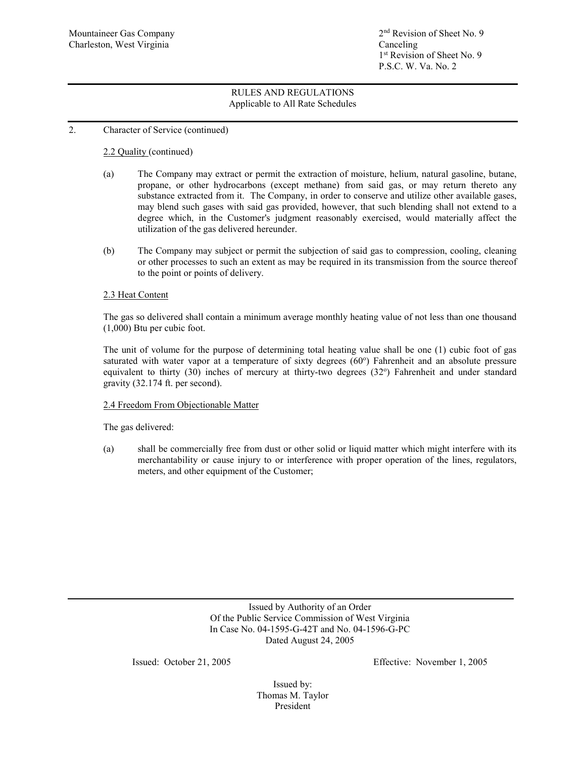## 2. Character of Service (continued)

# 2.2 Quality (continued)

- (a) The Company may extract or permit the extraction of moisture, helium, natural gasoline, butane, propane, or other hydrocarbons (except methane) from said gas, or may return thereto any substance extracted from it. The Company, in order to conserve and utilize other available gases, may blend such gases with said gas provided, however, that such blending shall not extend to a degree which, in the Customer's judgment reasonably exercised, would materially affect the utilization of the gas delivered hereunder.
- (b) The Company may subject or permit the subjection of said gas to compression, cooling, cleaning or other processes to such an extent as may be required in its transmission from the source thereof to the point or points of delivery.

## 2.3 Heat Content

The gas so delivered shall contain a minimum average monthly heating value of not less than one thousand (1,000) Btu per cubic foot.

The unit of volume for the purpose of determining total heating value shall be one (1) cubic foot of gas saturated with water vapor at a temperature of sixty degrees (60°) Fahrenheit and an absolute pressure equivalent to thirty (30) inches of mercury at thirty-two degrees (32°) Fahrenheit and under standard gravity (32.174 ft. per second).

## 2.4 Freedom From Objectionable Matter

The gas delivered:

 (a) shall be commercially free from dust or other solid or liquid matter which might interfere with its merchantability or cause injury to or interference with proper operation of the lines, regulators, meters, and other equipment of the Customer;

> Issued by Authority of an Order Of the Public Service Commission of West Virginia In Case No. 04-1595-G-42T and No. 04-1596-G-PC Dated August 24, 2005

Issued: October 21, 2005 Effective: November 1, 2005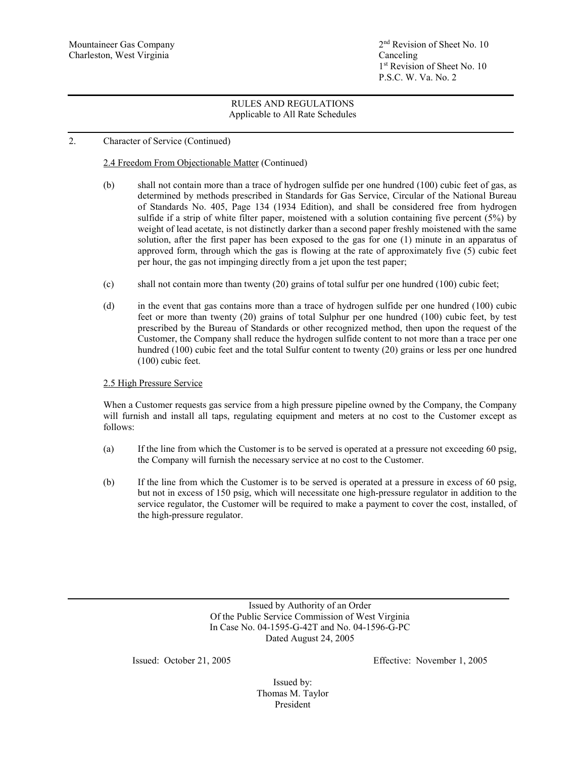## 2. Character of Service (Continued)

# 2.4 Freedom From Objectionable Matter (Continued)

- (b) shall not contain more than a trace of hydrogen sulfide per one hundred (100) cubic feet of gas, as determined by methods prescribed in Standards for Gas Service, Circular of the National Bureau of Standards No. 405, Page 134 (1934 Edition), and shall be considered free from hydrogen sulfide if a strip of white filter paper, moistened with a solution containing five percent (5%) by weight of lead acetate, is not distinctly darker than a second paper freshly moistened with the same solution, after the first paper has been exposed to the gas for one (1) minute in an apparatus of approved form, through which the gas is flowing at the rate of approximately five (5) cubic feet per hour, the gas not impinging directly from a jet upon the test paper;
- (c) shall not contain more than twenty (20) grains of total sulfur per one hundred (100) cubic feet;
- (d) in the event that gas contains more than a trace of hydrogen sulfide per one hundred (100) cubic feet or more than twenty (20) grains of total Sulphur per one hundred (100) cubic feet, by test prescribed by the Bureau of Standards or other recognized method, then upon the request of the Customer, the Company shall reduce the hydrogen sulfide content to not more than a trace per one hundred (100) cubic feet and the total Sulfur content to twenty (20) grains or less per one hundred (100) cubic feet.

## 2.5 High Pressure Service

When a Customer requests gas service from a high pressure pipeline owned by the Company, the Company will furnish and install all taps, regulating equipment and meters at no cost to the Customer except as follows:

- (a) If the line from which the Customer is to be served is operated at a pressure not exceeding 60 psig, the Company will furnish the necessary service at no cost to the Customer.
- (b) If the line from which the Customer is to be served is operated at a pressure in excess of 60 psig, but not in excess of 150 psig, which will necessitate one high-pressure regulator in addition to the service regulator, the Customer will be required to make a payment to cover the cost, installed, of the high-pressure regulator.

Issued by Authority of an Order Of the Public Service Commission of West Virginia In Case No. 04-1595-G-42T and No. 04-1596-G-PC Dated August 24, 2005

Issued: October 21, 2005 Effective: November 1, 2005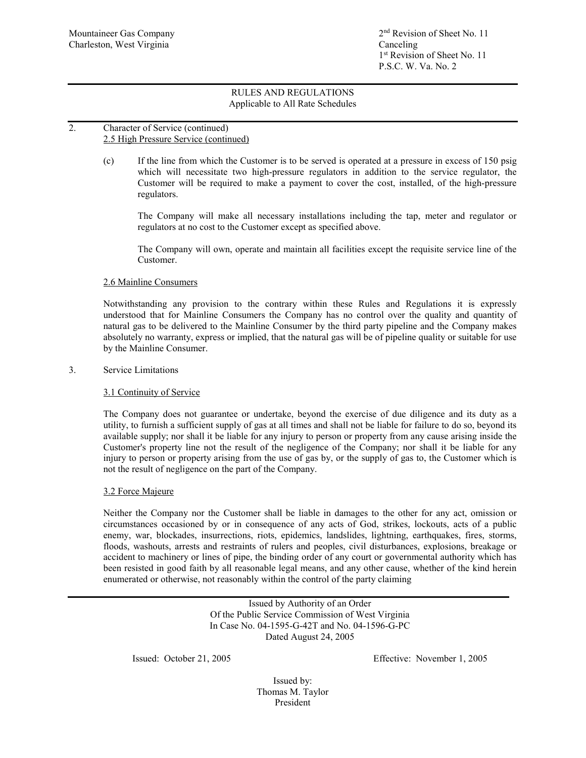## 2. Character of Service (continued) 2.5 High Pressure Service (continued)

(c) If the line from which the Customer is to be served is operated at a pressure in excess of 150 psig which will necessitate two high-pressure regulators in addition to the service regulator, the Customer will be required to make a payment to cover the cost, installed, of the high-pressure regulators.

The Company will make all necessary installations including the tap, meter and regulator or regulators at no cost to the Customer except as specified above.

The Company will own, operate and maintain all facilities except the requisite service line of the Customer.

## 2.6 Mainline Consumers

Notwithstanding any provision to the contrary within these Rules and Regulations it is expressly understood that for Mainline Consumers the Company has no control over the quality and quantity of natural gas to be delivered to the Mainline Consumer by the third party pipeline and the Company makes absolutely no warranty, express or implied, that the natural gas will be of pipeline quality or suitable for use by the Mainline Consumer.

## 3. Service Limitations

## 3.1 Continuity of Service

The Company does not guarantee or undertake, beyond the exercise of due diligence and its duty as a utility, to furnish a sufficient supply of gas at all times and shall not be liable for failure to do so, beyond its available supply; nor shall it be liable for any injury to person or property from any cause arising inside the Customer's property line not the result of the negligence of the Company; nor shall it be liable for any injury to person or property arising from the use of gas by, or the supply of gas to, the Customer which is not the result of negligence on the part of the Company.

## 3.2 Force Majeure

Neither the Company nor the Customer shall be liable in damages to the other for any act, omission or circumstances occasioned by or in consequence of any acts of God, strikes, lockouts, acts of a public enemy, war, blockades, insurrections, riots, epidemics, landslides, lightning, earthquakes, fires, storms, floods, washouts, arrests and restraints of rulers and peoples, civil disturbances, explosions, breakage or accident to machinery or lines of pipe, the binding order of any court or governmental authority which has been resisted in good faith by all reasonable legal means, and any other cause, whether of the kind herein enumerated or otherwise, not reasonably within the control of the party claiming

> Issued by Authority of an Order Of the Public Service Commission of West Virginia In Case No. 04-1595-G-42T and No. 04-1596-G-PC Dated August 24, 2005

Issued: October 21, 2005 Effective: November 1, 2005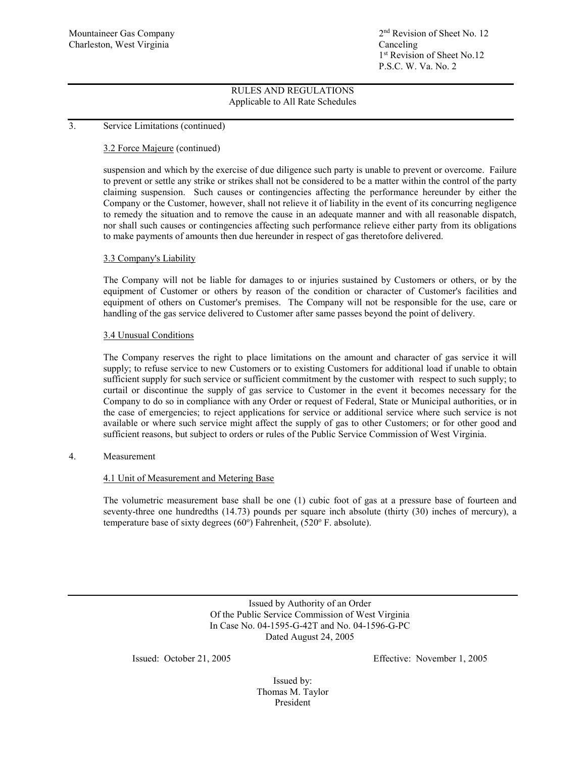## 3. Service Limitations (continued)

## 3.2 Force Majeure (continued)

suspension and which by the exercise of due diligence such party is unable to prevent or overcome. Failure to prevent or settle any strike or strikes shall not be considered to be a matter within the control of the party claiming suspension. Such causes or contingencies affecting the performance hereunder by either the Company or the Customer, however, shall not relieve it of liability in the event of its concurring negligence to remedy the situation and to remove the cause in an adequate manner and with all reasonable dispatch, nor shall such causes or contingencies affecting such performance relieve either party from its obligations to make payments of amounts then due hereunder in respect of gas theretofore delivered.

### 3.3 Company's Liability

The Company will not be liable for damages to or injuries sustained by Customers or others, or by the equipment of Customer or others by reason of the condition or character of Customer's facilities and equipment of others on Customer's premises. The Company will not be responsible for the use, care or handling of the gas service delivered to Customer after same passes beyond the point of delivery.

### 3.4 Unusual Conditions

The Company reserves the right to place limitations on the amount and character of gas service it will supply; to refuse service to new Customers or to existing Customers for additional load if unable to obtain sufficient supply for such service or sufficient commitment by the customer with respect to such supply; to curtail or discontinue the supply of gas service to Customer in the event it becomes necessary for the Company to do so in compliance with any Order or request of Federal, State or Municipal authorities, or in the case of emergencies; to reject applications for service or additional service where such service is not available or where such service might affect the supply of gas to other Customers; or for other good and sufficient reasons, but subject to orders or rules of the Public Service Commission of West Virginia.

## 4. Measurement

## 4.1 Unit of Measurement and Metering Base

The volumetric measurement base shall be one (1) cubic foot of gas at a pressure base of fourteen and seventy-three one hundredths (14.73) pounds per square inch absolute (thirty (30) inches of mercury), a temperature base of sixty degrees (60°) Fahrenheit, (520° F. absolute).

> Issued by Authority of an Order Of the Public Service Commission of West Virginia In Case No. 04-1595-G-42T and No. 04-1596-G-PC Dated August 24, 2005

Issued: October 21, 2005 Effective: November 1, 2005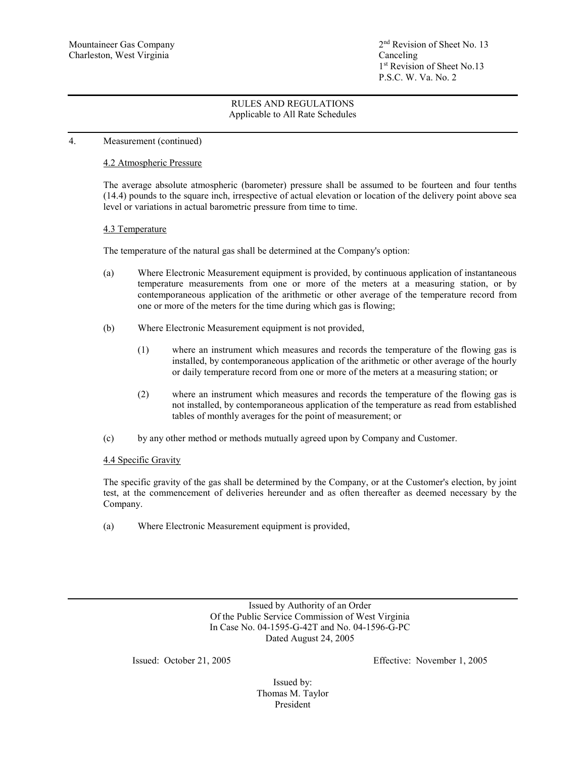## 4. Measurement (continued)

### 4.2 Atmospheric Pressure

The average absolute atmospheric (barometer) pressure shall be assumed to be fourteen and four tenths (14.4) pounds to the square inch, irrespective of actual elevation or location of the delivery point above sea level or variations in actual barometric pressure from time to time.

### 4.3 Temperature

The temperature of the natural gas shall be determined at the Company's option:

- (a) Where Electronic Measurement equipment is provided, by continuous application of instantaneous temperature measurements from one or more of the meters at a measuring station, or by contemporaneous application of the arithmetic or other average of the temperature record from one or more of the meters for the time during which gas is flowing;
- (b) Where Electronic Measurement equipment is not provided,
	- (1) where an instrument which measures and records the temperature of the flowing gas is installed, by contemporaneous application of the arithmetic or other average of the hourly or daily temperature record from one or more of the meters at a measuring station; or
	- (2) where an instrument which measures and records the temperature of the flowing gas is not installed, by contemporaneous application of the temperature as read from established tables of monthly averages for the point of measurement; or
- (c) by any other method or methods mutually agreed upon by Company and Customer.

## 4.4 Specific Gravity

The specific gravity of the gas shall be determined by the Company, or at the Customer's election, by joint test, at the commencement of deliveries hereunder and as often thereafter as deemed necessary by the Company.

(a) Where Electronic Measurement equipment is provided,

Issued by Authority of an Order Of the Public Service Commission of West Virginia In Case No. 04-1595-G-42T and No. 04-1596-G-PC Dated August 24, 2005

Issued: October 21, 2005 Effective: November 1, 2005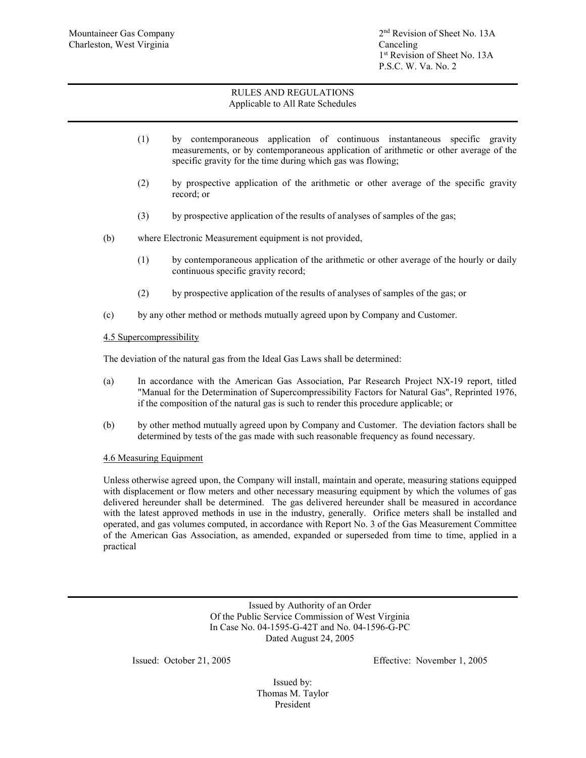- (1) by contemporaneous application of continuous instantaneous specific gravity measurements, or by contemporaneous application of arithmetic or other average of the specific gravity for the time during which gas was flowing;
- (2) by prospective application of the arithmetic or other average of the specific gravity record; or
- (3) by prospective application of the results of analyses of samples of the gas;
- (b) where Electronic Measurement equipment is not provided,
	- (1) by contemporaneous application of the arithmetic or other average of the hourly or daily continuous specific gravity record;
	- (2) by prospective application of the results of analyses of samples of the gas; or
- (c) by any other method or methods mutually agreed upon by Company and Customer.

# 4.5 Supercompressibility

The deviation of the natural gas from the Ideal Gas Laws shall be determined:

- (a) In accordance with the American Gas Association, Par Research Project NX-19 report, titled "Manual for the Determination of Supercompressibility Factors for Natural Gas", Reprinted 1976, if the composition of the natural gas is such to render this procedure applicable; or
- (b) by other method mutually agreed upon by Company and Customer. The deviation factors shall be determined by tests of the gas made with such reasonable frequency as found necessary.

## 4.6 Measuring Equipment

Unless otherwise agreed upon, the Company will install, maintain and operate, measuring stations equipped with displacement or flow meters and other necessary measuring equipment by which the volumes of gas delivered hereunder shall be determined. The gas delivered hereunder shall be measured in accordance with the latest approved methods in use in the industry, generally. Orifice meters shall be installed and operated, and gas volumes computed, in accordance with Report No. 3 of the Gas Measurement Committee of the American Gas Association, as amended, expanded or superseded from time to time, applied in a practical

> Issued by Authority of an Order Of the Public Service Commission of West Virginia In Case No. 04-1595-G-42T and No. 04-1596-G-PC Dated August 24, 2005

Issued: October 21, 2005 Effective: November 1, 2005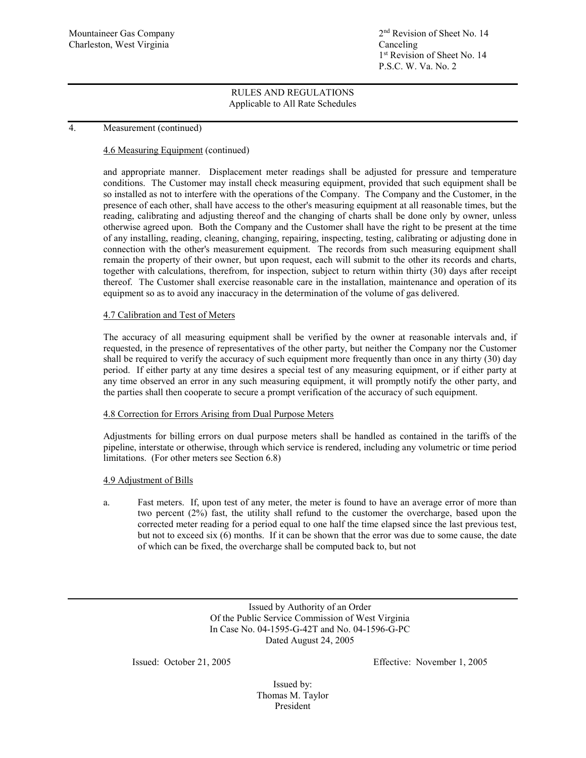Mountaineer Gas Company 2nd Revision of Sheet No. 14 1<sup>st</sup> Revision of Sheet No. 14 P.S.C. W. Va. No. 2

## RULES AND REGULATIONS Applicable to All Rate Schedules

## 4. Measurement (continued)

## 4.6 Measuring Equipment (continued)

and appropriate manner. Displacement meter readings shall be adjusted for pressure and temperature conditions. The Customer may install check measuring equipment, provided that such equipment shall be so installed as not to interfere with the operations of the Company. The Company and the Customer, in the presence of each other, shall have access to the other's measuring equipment at all reasonable times, but the reading, calibrating and adjusting thereof and the changing of charts shall be done only by owner, unless otherwise agreed upon. Both the Company and the Customer shall have the right to be present at the time of any installing, reading, cleaning, changing, repairing, inspecting, testing, calibrating or adjusting done in connection with the other's measurement equipment. The records from such measuring equipment shall remain the property of their owner, but upon request, each will submit to the other its records and charts, together with calculations, therefrom, for inspection, subject to return within thirty (30) days after receipt thereof. The Customer shall exercise reasonable care in the installation, maintenance and operation of its equipment so as to avoid any inaccuracy in the determination of the volume of gas delivered.

### 4.7 Calibration and Test of Meters

The accuracy of all measuring equipment shall be verified by the owner at reasonable intervals and, if requested, in the presence of representatives of the other party, but neither the Company nor the Customer shall be required to verify the accuracy of such equipment more frequently than once in any thirty (30) day period. If either party at any time desires a special test of any measuring equipment, or if either party at any time observed an error in any such measuring equipment, it will promptly notify the other party, and the parties shall then cooperate to secure a prompt verification of the accuracy of such equipment.

### 4.8 Correction for Errors Arising from Dual Purpose Meters

Adjustments for billing errors on dual purpose meters shall be handled as contained in the tariffs of the pipeline, interstate or otherwise, through which service is rendered, including any volumetric or time period limitations. (For other meters see Section 6.8)

### 4.9 Adjustment of Bills

a. Fast meters. If, upon test of any meter, the meter is found to have an average error of more than two percent (2%) fast, the utility shall refund to the customer the overcharge, based upon the corrected meter reading for a period equal to one half the time elapsed since the last previous test, but not to exceed six (6) months. If it can be shown that the error was due to some cause, the date of which can be fixed, the overcharge shall be computed back to, but not

> Issued by Authority of an Order Of the Public Service Commission of West Virginia In Case No. 04-1595-G-42T and No. 04-1596-G-PC Dated August 24, 2005

Issued: October 21, 2005 Effective: November 1, 2005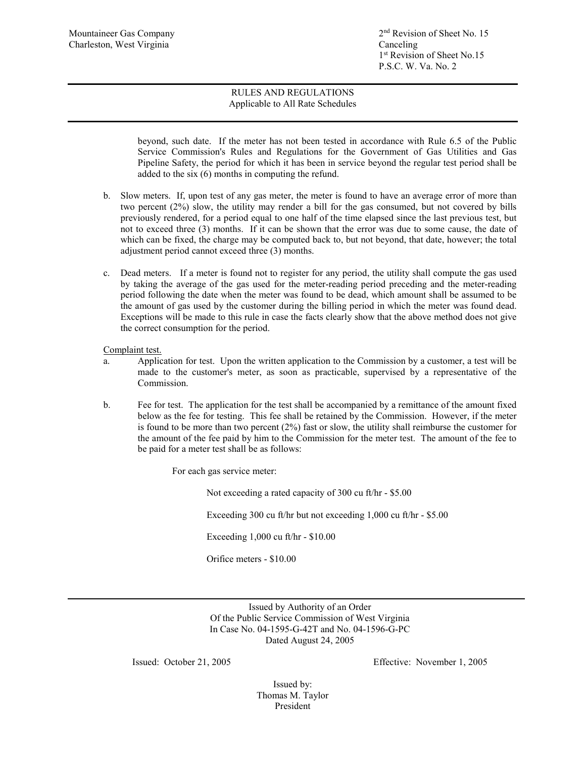beyond, such date. If the meter has not been tested in accordance with Rule 6.5 of the Public Service Commission's Rules and Regulations for the Government of Gas Utilities and Gas Pipeline Safety, the period for which it has been in service beyond the regular test period shall be added to the six (6) months in computing the refund.

- b. Slow meters. If, upon test of any gas meter, the meter is found to have an average error of more than two percent (2%) slow, the utility may render a bill for the gas consumed, but not covered by bills previously rendered, for a period equal to one half of the time elapsed since the last previous test, but not to exceed three (3) months. If it can be shown that the error was due to some cause, the date of which can be fixed, the charge may be computed back to, but not beyond, that date, however; the total adjustment period cannot exceed three (3) months.
- c. Dead meters. If a meter is found not to register for any period, the utility shall compute the gas used by taking the average of the gas used for the meter-reading period preceding and the meter-reading period following the date when the meter was found to be dead, which amount shall be assumed to be the amount of gas used by the customer during the billing period in which the meter was found dead. Exceptions will be made to this rule in case the facts clearly show that the above method does not give the correct consumption for the period.

Complaint test.

- a. Application for test. Upon the written application to the Commission by a customer, a test will be made to the customer's meter, as soon as practicable, supervised by a representative of the Commission.
- b. Fee for test. The application for the test shall be accompanied by a remittance of the amount fixed below as the fee for testing. This fee shall be retained by the Commission. However, if the meter is found to be more than two percent (2%) fast or slow, the utility shall reimburse the customer for the amount of the fee paid by him to the Commission for the meter test. The amount of the fee to be paid for a meter test shall be as follows:

For each gas service meter:

Not exceeding a rated capacity of 300 cu ft/hr - \$5.00

Exceeding 300 cu ft/hr but not exceeding 1,000 cu ft/hr - \$5.00

Exceeding 1,000 cu ft/hr - \$10.00

Orifice meters - \$10.00

Issued by Authority of an Order Of the Public Service Commission of West Virginia In Case No. 04-1595-G-42T and No. 04-1596-G-PC Dated August 24, 2005

Issued: October 21, 2005 Effective: November 1, 2005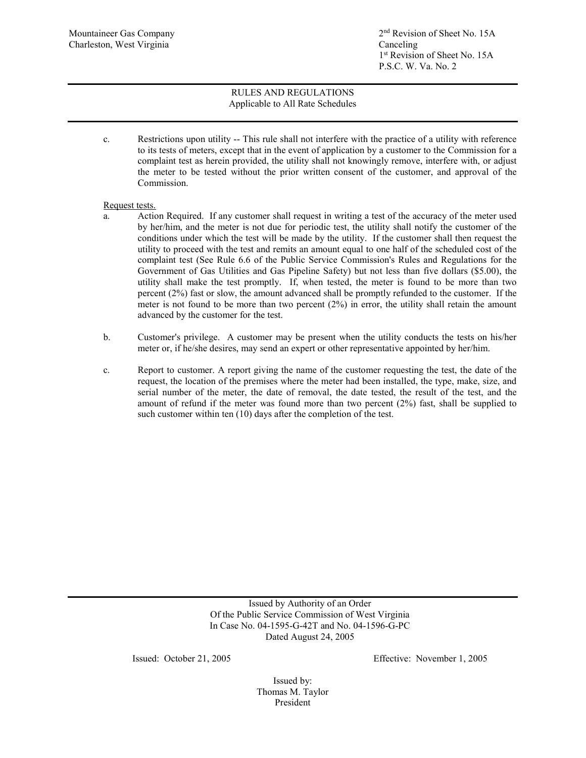Mountaineer Gas Company 2<sup>nd</sup> Revision of Sheet No. 15A 1st Revision of Sheet No. 15A P.S.C. W. Va. No. 2

# RULES AND REGULATIONS Applicable to All Rate Schedules

c. Restrictions upon utility -- This rule shall not interfere with the practice of a utility with reference to its tests of meters, except that in the event of application by a customer to the Commission for a complaint test as herein provided, the utility shall not knowingly remove, interfere with, or adjust the meter to be tested without the prior written consent of the customer, and approval of the Commission.

## Request tests.

- a. Action Required. If any customer shall request in writing a test of the accuracy of the meter used by her/him, and the meter is not due for periodic test, the utility shall notify the customer of the conditions under which the test will be made by the utility. If the customer shall then request the utility to proceed with the test and remits an amount equal to one half of the scheduled cost of the complaint test (See Rule 6.6 of the Public Service Commission's Rules and Regulations for the Government of Gas Utilities and Gas Pipeline Safety) but not less than five dollars (\$5.00), the utility shall make the test promptly. If, when tested, the meter is found to be more than two percent (2%) fast or slow, the amount advanced shall be promptly refunded to the customer. If the meter is not found to be more than two percent (2%) in error, the utility shall retain the amount advanced by the customer for the test.
- b. Customer's privilege. A customer may be present when the utility conducts the tests on his/her meter or, if he/she desires, may send an expert or other representative appointed by her/him.
- c. Report to customer. A report giving the name of the customer requesting the test, the date of the request, the location of the premises where the meter had been installed, the type, make, size, and serial number of the meter, the date of removal, the date tested, the result of the test, and the amount of refund if the meter was found more than two percent (2%) fast, shall be supplied to such customer within ten (10) days after the completion of the test.

Issued by Authority of an Order Of the Public Service Commission of West Virginia In Case No. 04-1595-G-42T and No. 04-1596-G-PC Dated August 24, 2005

Issued: October 21, 2005 Effective: November 1, 2005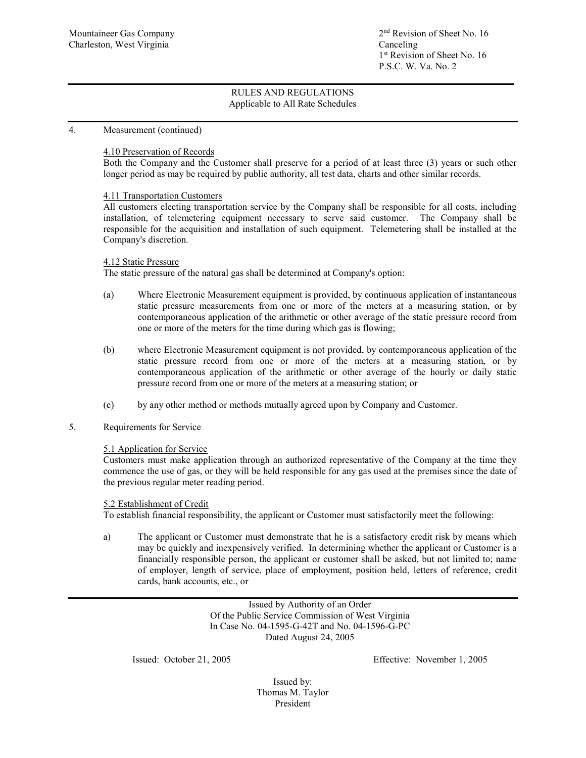## 4. Measurement (continued)

# 4.10 Preservation of Records

Both the Company and the Customer shall preserve for a period of at least three (3) years or such other longer period as may be required by public authority, all test data, charts and other similar records.

### 4.11 Transportation Customers

All customers electing transportation service by the Company shall be responsible for all costs, including installation, of telemetering equipment necessary to serve said customer. The Company shall be responsible for the acquisition and installation of such equipment. Telemetering shall be installed at the Company's discretion.

### 4.12 Static Pressure

The static pressure of the natural gas shall be determined at Company's option:

- (a) Where Electronic Measurement equipment is provided, by continuous application of instantaneous static pressure measurements from one or more of the meters at a measuring station, or by contemporaneous application of the arithmetic or other average of the static pressure record from one or more of the meters for the time during which gas is flowing;
- (b) where Electronic Measurement equipment is not provided, by contemporaneous application of the static pressure record from one or more of the meters at a measuring station, or by contemporaneous application of the arithmetic or other average of the hourly or daily static pressure record from one or more of the meters at a measuring station; or
- (c) by any other method or methods mutually agreed upon by Company and Customer.
- 5. Requirements for Service

## 5.1 Application for Service

Customers must make application through an authorized representative of the Company at the time they commence the use of gas, or they will be held responsible for any gas used at the premises since the date of the previous regular meter reading period.

### 5.2 Establishment of Credit

To establish financial responsibility, the applicant or Customer must satisfactorily meet the following:

a) The applicant or Customer must demonstrate that he is a satisfactory credit risk by means which may be quickly and inexpensively verified. In determining whether the applicant or Customer is a financially responsible person, the applicant or customer shall be asked, but not limited to; name of employer, length of service, place of employment, position held, letters of reference, credit cards, bank accounts, etc., or

> Issued by Authority of an Order Of the Public Service Commission of West Virginia In Case No. 04-1595-G-42T and No. 04-1596-G-PC Dated August 24, 2005

Issued: October 21, 2005 Effective: November 1, 2005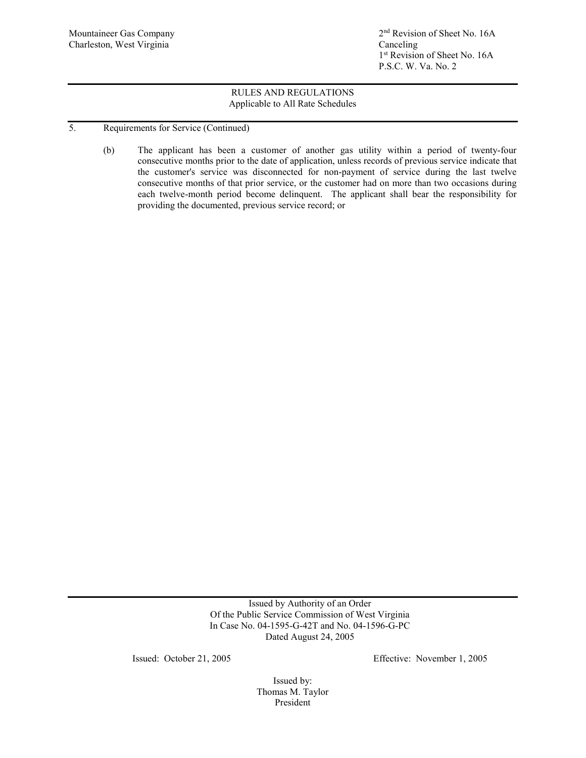Mountaineer Gas Company 2<sup>nd</sup> Revision of Sheet No. 16A 1<sup>st</sup> Revision of Sheet No. 16A P.S.C. W. Va. No. 2

# RULES AND REGULATIONS Applicable to All Rate Schedules

- 5. Requirements for Service (Continued)
	- (b) The applicant has been a customer of another gas utility within a period of twenty-four consecutive months prior to the date of application, unless records of previous service indicate that the customer's service was disconnected for non-payment of service during the last twelve consecutive months of that prior service, or the customer had on more than two occasions during each twelve-month period become delinquent. The applicant shall bear the responsibility for providing the documented, previous service record; or

Issued by Authority of an Order Of the Public Service Commission of West Virginia In Case No. 04-1595-G-42T and No. 04-1596-G-PC Dated August 24, 2005

Issued: October 21, 2005 Effective: November 1, 2005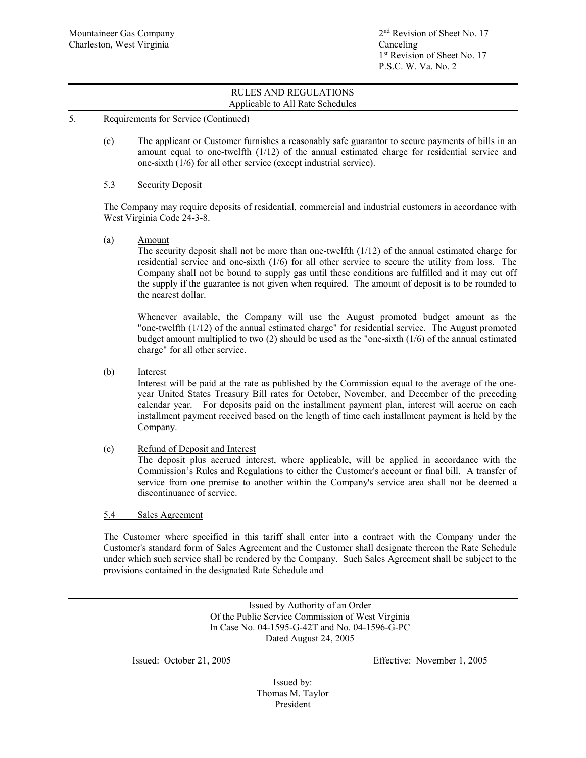- 5. Requirements for Service (Continued)
	- (c) The applicant or Customer furnishes a reasonably safe guarantor to secure payments of bills in an amount equal to one-twelfth (1/12) of the annual estimated charge for residential service and one-sixth (1/6) for all other service (except industrial service).

## 5.3 Security Deposit

The Company may require deposits of residential, commercial and industrial customers in accordance with West Virginia Code 24-3-8.

(a) Amount

The security deposit shall not be more than one-twelfth  $(1/12)$  of the annual estimated charge for residential service and one-sixth (1/6) for all other service to secure the utility from loss. The Company shall not be bound to supply gas until these conditions are fulfilled and it may cut off the supply if the guarantee is not given when required. The amount of deposit is to be rounded to the nearest dollar.

Whenever available, the Company will use the August promoted budget amount as the "one-twelfth (1/12) of the annual estimated charge" for residential service. The August promoted budget amount multiplied to two  $(2)$  should be used as the "one-sixth  $(1/6)$  of the annual estimated charge" for all other service.

(b) Interest

Interest will be paid at the rate as published by the Commission equal to the average of the oneyear United States Treasury Bill rates for October, November, and December of the preceding calendar year. For deposits paid on the installment payment plan, interest will accrue on each installment payment received based on the length of time each installment payment is held by the Company.

(c) Refund of Deposit and Interest

The deposit plus accrued interest, where applicable, will be applied in accordance with the Commission's Rules and Regulations to either the Customer's account or final bill. A transfer of service from one premise to another within the Company's service area shall not be deemed a discontinuance of service.

### 5.4 Sales Agreement

The Customer where specified in this tariff shall enter into a contract with the Company under the Customer's standard form of Sales Agreement and the Customer shall designate thereon the Rate Schedule under which such service shall be rendered by the Company. Such Sales Agreement shall be subject to the provisions contained in the designated Rate Schedule and

> Issued by Authority of an Order Of the Public Service Commission of West Virginia In Case No. 04-1595-G-42T and No. 04-1596-G-PC Dated August 24, 2005

Issued: October 21, 2005 Effective: November 1, 2005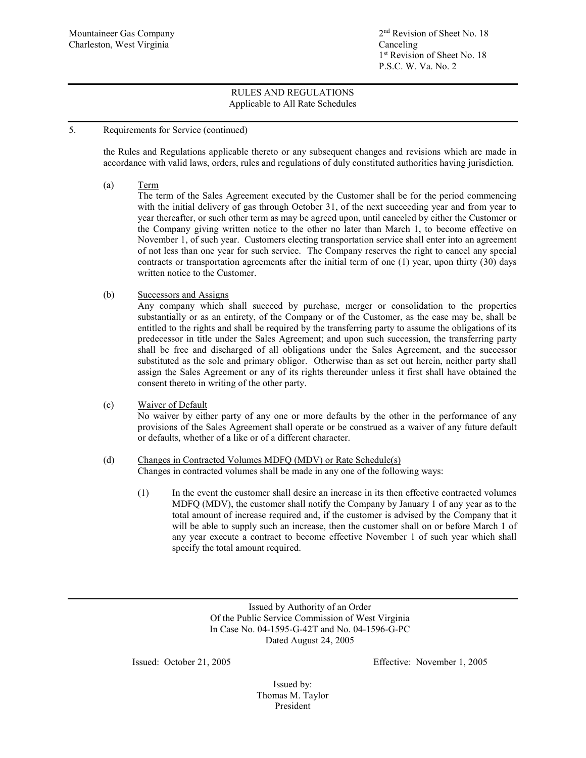# 5. Requirements for Service (continued)

the Rules and Regulations applicable thereto or any subsequent changes and revisions which are made in accordance with valid laws, orders, rules and regulations of duly constituted authorities having jurisdiction.

(a) Term

The term of the Sales Agreement executed by the Customer shall be for the period commencing with the initial delivery of gas through October 31, of the next succeeding year and from year to year thereafter, or such other term as may be agreed upon, until canceled by either the Customer or the Company giving written notice to the other no later than March 1, to become effective on November 1, of such year. Customers electing transportation service shall enter into an agreement of not less than one year for such service. The Company reserves the right to cancel any special contracts or transportation agreements after the initial term of one (1) year, upon thirty (30) days written notice to the Customer.

(b) Successors and Assigns

Any company which shall succeed by purchase, merger or consolidation to the properties substantially or as an entirety, of the Company or of the Customer, as the case may be, shall be entitled to the rights and shall be required by the transferring party to assume the obligations of its predecessor in title under the Sales Agreement; and upon such succession, the transferring party shall be free and discharged of all obligations under the Sales Agreement, and the successor substituted as the sole and primary obligor. Otherwise than as set out herein, neither party shall assign the Sales Agreement or any of its rights thereunder unless it first shall have obtained the consent thereto in writing of the other party.

(c) Waiver of Default

No waiver by either party of any one or more defaults by the other in the performance of any provisions of the Sales Agreement shall operate or be construed as a waiver of any future default or defaults, whether of a like or of a different character.

### (d) Changes in Contracted Volumes MDFQ (MDV) or Rate Schedule(s) Changes in contracted volumes shall be made in any one of the following ways:

(1) In the event the customer shall desire an increase in its then effective contracted volumes MDFQ (MDV), the customer shall notify the Company by January 1 of any year as to the total amount of increase required and, if the customer is advised by the Company that it will be able to supply such an increase, then the customer shall on or before March 1 of any year execute a contract to become effective November 1 of such year which shall specify the total amount required.

> Issued by Authority of an Order Of the Public Service Commission of West Virginia In Case No. 04-1595-G-42T and No. 04-1596-G-PC Dated August 24, 2005

Issued: October 21, 2005 Effective: November 1, 2005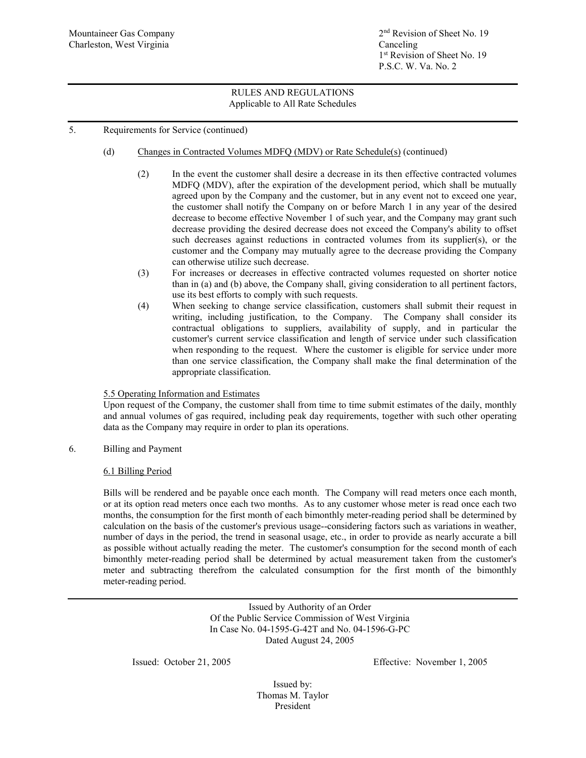# 5. Requirements for Service (continued)

# (d) Changes in Contracted Volumes MDFQ (MDV) or Rate Schedule(s) (continued)

- (2) In the event the customer shall desire a decrease in its then effective contracted volumes MDFQ (MDV), after the expiration of the development period, which shall be mutually agreed upon by the Company and the customer, but in any event not to exceed one year, the customer shall notify the Company on or before March 1 in any year of the desired decrease to become effective November 1 of such year, and the Company may grant such decrease providing the desired decrease does not exceed the Company's ability to offset such decreases against reductions in contracted volumes from its supplier(s), or the customer and the Company may mutually agree to the decrease providing the Company can otherwise utilize such decrease.
- (3) For increases or decreases in effective contracted volumes requested on shorter notice than in (a) and (b) above, the Company shall, giving consideration to all pertinent factors, use its best efforts to comply with such requests.
- (4) When seeking to change service classification, customers shall submit their request in writing, including justification, to the Company. The Company shall consider its contractual obligations to suppliers, availability of supply, and in particular the customer's current service classification and length of service under such classification when responding to the request. Where the customer is eligible for service under more than one service classification, the Company shall make the final determination of the appropriate classification.

## 5.5 Operating Information and Estimates

Upon request of the Company, the customer shall from time to time submit estimates of the daily, monthly and annual volumes of gas required, including peak day requirements, together with such other operating data as the Company may require in order to plan its operations.

## 6. Billing and Payment

## 6.1 Billing Period

Bills will be rendered and be payable once each month. The Company will read meters once each month, or at its option read meters once each two months. As to any customer whose meter is read once each two months, the consumption for the first month of each bimonthly meter-reading period shall be determined by calculation on the basis of the customer's previous usage--considering factors such as variations in weather, number of days in the period, the trend in seasonal usage, etc., in order to provide as nearly accurate a bill as possible without actually reading the meter. The customer's consumption for the second month of each bimonthly meter-reading period shall be determined by actual measurement taken from the customer's meter and subtracting therefrom the calculated consumption for the first month of the bimonthly meter-reading period.

> Issued by Authority of an Order Of the Public Service Commission of West Virginia In Case No. 04-1595-G-42T and No. 04-1596-G-PC Dated August 24, 2005

Issued: October 21, 2005 Effective: November 1, 2005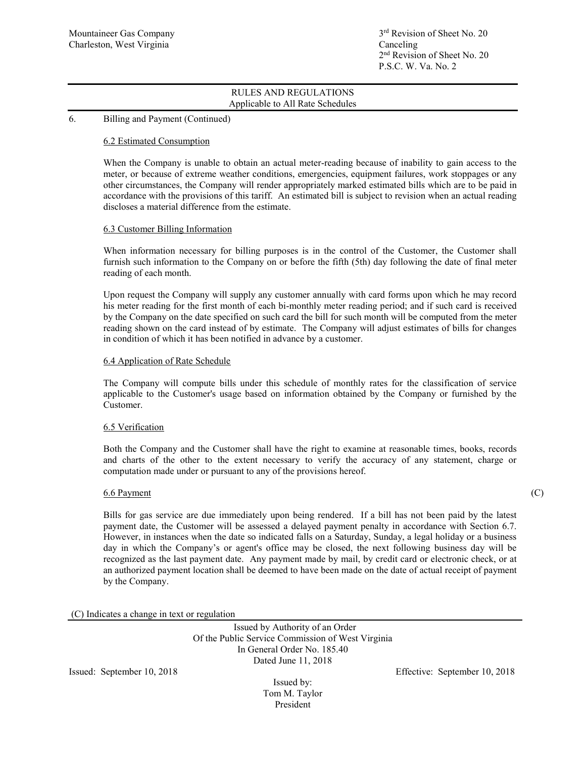## 6. Billing and Payment (Continued)

### 6.2 Estimated Consumption

When the Company is unable to obtain an actual meter-reading because of inability to gain access to the meter, or because of extreme weather conditions, emergencies, equipment failures, work stoppages or any other circumstances, the Company will render appropriately marked estimated bills which are to be paid in accordance with the provisions of this tariff. An estimated bill is subject to revision when an actual reading discloses a material difference from the estimate.

### 6.3 Customer Billing Information

When information necessary for billing purposes is in the control of the Customer, the Customer shall furnish such information to the Company on or before the fifth (5th) day following the date of final meter reading of each month.

Upon request the Company will supply any customer annually with card forms upon which he may record his meter reading for the first month of each bi-monthly meter reading period; and if such card is received by the Company on the date specified on such card the bill for such month will be computed from the meter reading shown on the card instead of by estimate. The Company will adjust estimates of bills for changes in condition of which it has been notified in advance by a customer.

### 6.4 Application of Rate Schedule

The Company will compute bills under this schedule of monthly rates for the classification of service applicable to the Customer's usage based on information obtained by the Company or furnished by the Customer.

### 6.5 Verification

Both the Company and the Customer shall have the right to examine at reasonable times, books, records and charts of the other to the extent necessary to verify the accuracy of any statement, charge or computation made under or pursuant to any of the provisions hereof.

### 6.6 Payment (C)

Bills for gas service are due immediately upon being rendered. If a bill has not been paid by the latest payment date, the Customer will be assessed a delayed payment penalty in accordance with Section 6.7. However, in instances when the date so indicated falls on a Saturday, Sunday, a legal holiday or a business day in which the Company's or agent's office may be closed, the next following business day will be recognized as the last payment date. Any payment made by mail, by credit card or electronic check, or at an authorized payment location shall be deemed to have been made on the date of actual receipt of payment by the Company.

### (C) Indicates a change in text or regulation

Issued by Authority of an Order Of the Public Service Commission of West Virginia In General Order No. 185.40 Dated June 11, 2018

Issued by: Tom M. Taylor President

Issued: September 10, 2018 Effective: September 10, 2018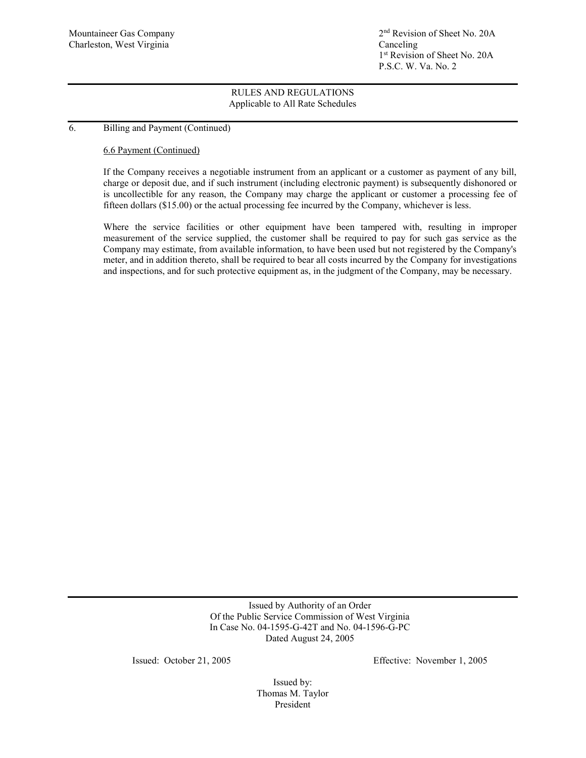Mountaineer Gas Company 2<sup>nd</sup> Revision of Sheet No. 20A 1<sup>st</sup> Revision of Sheet No. 20A P.S.C. W. Va. No. 2

## RULES AND REGULATIONS Applicable to All Rate Schedules

### 6. Billing and Payment (Continued)

### 6.6 Payment (Continued)

If the Company receives a negotiable instrument from an applicant or a customer as payment of any bill, charge or deposit due, and if such instrument (including electronic payment) is subsequently dishonored or is uncollectible for any reason, the Company may charge the applicant or customer a processing fee of fifteen dollars (\$15.00) or the actual processing fee incurred by the Company, whichever is less.

Where the service facilities or other equipment have been tampered with, resulting in improper measurement of the service supplied, the customer shall be required to pay for such gas service as the Company may estimate, from available information, to have been used but not registered by the Company's meter, and in addition thereto, shall be required to bear all costs incurred by the Company for investigations and inspections, and for such protective equipment as, in the judgment of the Company, may be necessary.

> Issued by Authority of an Order Of the Public Service Commission of West Virginia In Case No. 04-1595-G-42T and No. 04-1596-G-PC Dated August 24, 2005

Issued: October 21, 2005 Effective: November 1, 2005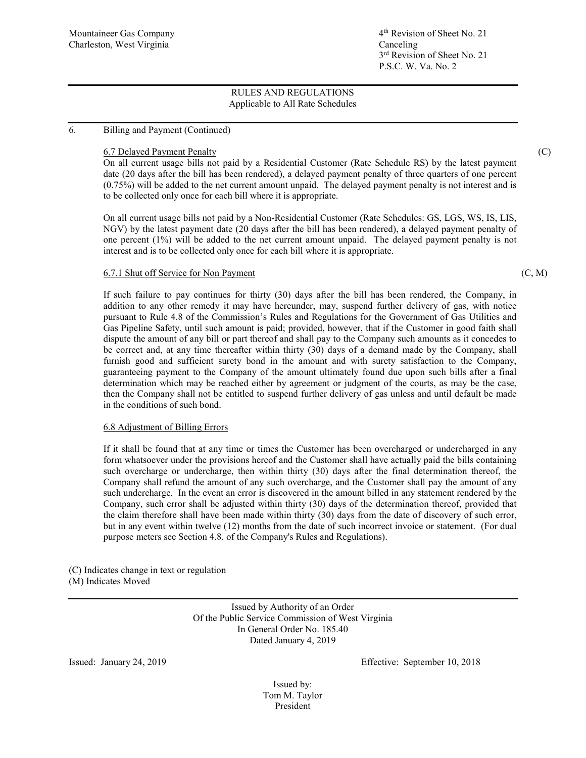# 6. Billing and Payment (Continued)

# 6.7 Delayed Payment Penalty (C)

On all current usage bills not paid by a Residential Customer (Rate Schedule RS) by the latest payment date (20 days after the bill has been rendered), a delayed payment penalty of three quarters of one percent (0.75%) will be added to the net current amount unpaid. The delayed payment penalty is not interest and is to be collected only once for each bill where it is appropriate.

On all current usage bills not paid by a Non-Residential Customer (Rate Schedules: GS, LGS, WS, IS, LIS, NGV) by the latest payment date (20 days after the bill has been rendered), a delayed payment penalty of one percent (1%) will be added to the net current amount unpaid. The delayed payment penalty is not interest and is to be collected only once for each bill where it is appropriate.

## 6.7.1 Shut off Service for Non Payment (C, M)

If such failure to pay continues for thirty (30) days after the bill has been rendered, the Company, in addition to any other remedy it may have hereunder, may, suspend further delivery of gas, with notice pursuant to Rule 4.8 of the Commission's Rules and Regulations for the Government of Gas Utilities and Gas Pipeline Safety, until such amount is paid; provided, however, that if the Customer in good faith shall dispute the amount of any bill or part thereof and shall pay to the Company such amounts as it concedes to be correct and, at any time thereafter within thirty (30) days of a demand made by the Company, shall furnish good and sufficient surety bond in the amount and with surety satisfaction to the Company, guaranteeing payment to the Company of the amount ultimately found due upon such bills after a final determination which may be reached either by agreement or judgment of the courts, as may be the case, then the Company shall not be entitled to suspend further delivery of gas unless and until default be made in the conditions of such bond.

# 6.8 Adjustment of Billing Errors

If it shall be found that at any time or times the Customer has been overcharged or undercharged in any form whatsoever under the provisions hereof and the Customer shall have actually paid the bills containing such overcharge or undercharge, then within thirty (30) days after the final determination thereof, the Company shall refund the amount of any such overcharge, and the Customer shall pay the amount of any such undercharge. In the event an error is discovered in the amount billed in any statement rendered by the Company, such error shall be adjusted within thirty (30) days of the determination thereof, provided that the claim therefore shall have been made within thirty (30) days from the date of discovery of such error, but in any event within twelve (12) months from the date of such incorrect invoice or statement. (For dual purpose meters see Section 4.8. of the Company's Rules and Regulations).

(C) Indicates change in text or regulation (M) Indicates Moved

> Issued by Authority of an Order Of the Public Service Commission of West Virginia In General Order No. 185.40 Dated January 4, 2019

Issued: January 24, 2019 Effective: September 10, 2018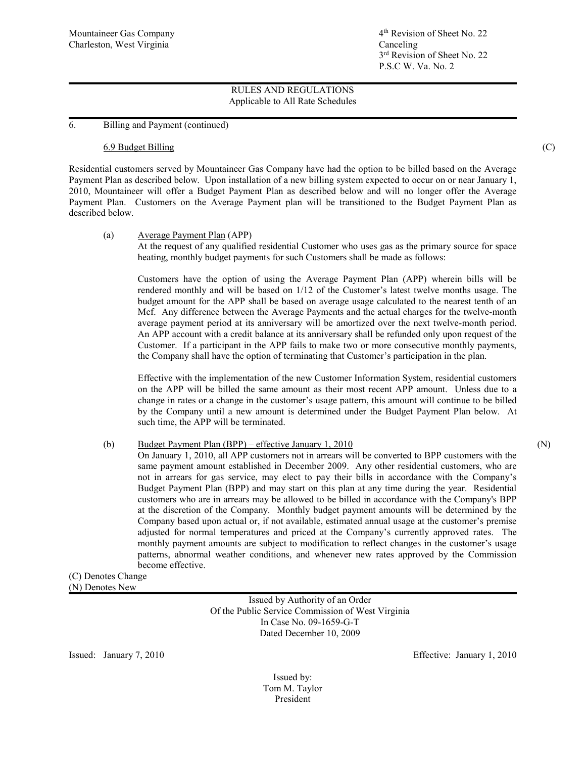6. Billing and Payment (continued)

### 6.9 Budget Billing (C)

Residential customers served by Mountaineer Gas Company have had the option to be billed based on the Average Payment Plan as described below. Upon installation of a new billing system expected to occur on or near January 1, 2010, Mountaineer will offer a Budget Payment Plan as described below and will no longer offer the Average Payment Plan. Customers on the Average Payment plan will be transitioned to the Budget Payment Plan as described below.

### (a) Average Payment Plan (APP)

At the request of any qualified residential Customer who uses gas as the primary source for space heating, monthly budget payments for such Customers shall be made as follows:

Customers have the option of using the Average Payment Plan (APP) wherein bills will be rendered monthly and will be based on 1/12 of the Customer's latest twelve months usage. The budget amount for the APP shall be based on average usage calculated to the nearest tenth of an Mcf. Any difference between the Average Payments and the actual charges for the twelve-month average payment period at its anniversary will be amortized over the next twelve-month period. An APP account with a credit balance at its anniversary shall be refunded only upon request of the Customer. If a participant in the APP fails to make two or more consecutive monthly payments, the Company shall have the option of terminating that Customer's participation in the plan.

Effective with the implementation of the new Customer Information System, residential customers on the APP will be billed the same amount as their most recent APP amount. Unless due to a change in rates or a change in the customer's usage pattern, this amount will continue to be billed by the Company until a new amount is determined under the Budget Payment Plan below. At such time, the APP will be terminated.

## (b) Budget Payment Plan (BPP) – effective January 1, 2010 (N)

On January 1, 2010, all APP customers not in arrears will be converted to BPP customers with the same payment amount established in December 2009. Any other residential customers, who are not in arrears for gas service, may elect to pay their bills in accordance with the Company's Budget Payment Plan (BPP) and may start on this plan at any time during the year. Residential customers who are in arrears may be allowed to be billed in accordance with the Company's BPP at the discretion of the Company. Monthly budget payment amounts will be determined by the Company based upon actual or, if not available, estimated annual usage at the customer's premise adjusted for normal temperatures and priced at the Company's currently approved rates. The monthly payment amounts are subject to modification to reflect changes in the customer's usage patterns, abnormal weather conditions, and whenever new rates approved by the Commission become effective.

### (C) Denotes Change (N) Denotes New

Issued by Authority of an Order Of the Public Service Commission of West Virginia In Case No. 09-1659-G-T Dated December 10, 2009

Issued: January 7, 2010 Effective: January 1, 2010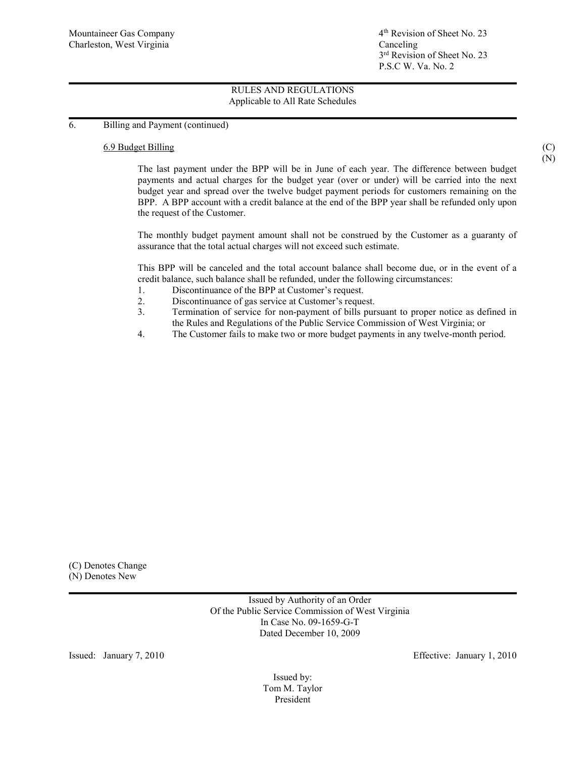6. Billing and Payment (continued)

### 6.9 Budget Billing (C)

The last payment under the BPP will be in June of each year. The difference between budget payments and actual charges for the budget year (over or under) will be carried into the next budget year and spread over the twelve budget payment periods for customers remaining on the BPP. A BPP account with a credit balance at the end of the BPP year shall be refunded only upon the request of the Customer.

The monthly budget payment amount shall not be construed by the Customer as a guaranty of assurance that the total actual charges will not exceed such estimate.

This BPP will be canceled and the total account balance shall become due, or in the event of a credit balance, such balance shall be refunded, under the following circumstances:

- 1. Discontinuance of the BPP at Customer's request.
- 2. Discontinuance of gas service at Customer's request.
- 3. Termination of service for non-payment of bills pursuant to proper notice as defined in the Rules and Regulations of the Public Service Commission of West Virginia; or
- 4. The Customer fails to make two or more budget payments in any twelve-month period.

(C) Denotes Change (N) Denotes New

> Issued by Authority of an Order Of the Public Service Commission of West Virginia In Case No. 09-1659-G-T Dated December 10, 2009

Issued: January 7, 2010 Effective: January 1, 2010

Issued by: Tom M. Taylor President

(N)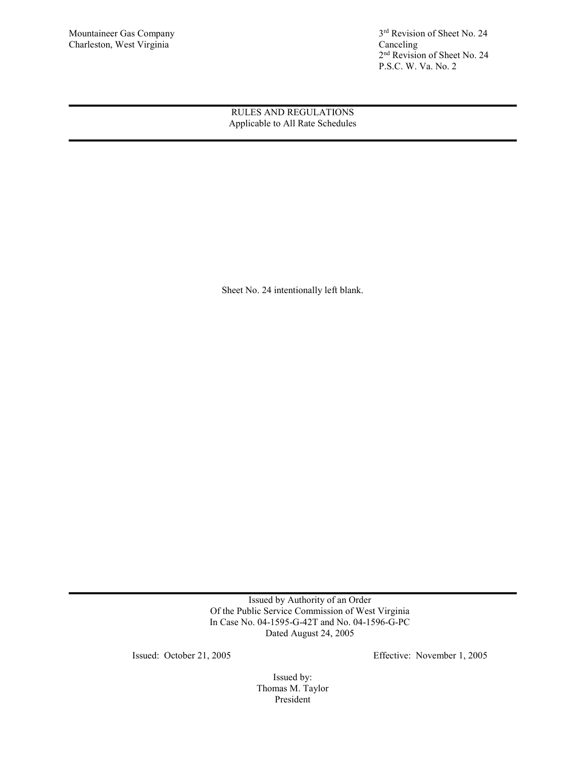Mountaineer Gas Company 3<sup>rd</sup> Revision of Sheet No. 24<br>Charleston, West Virginia Canceling Canceling 2<sup>nd</sup> Revision of Sheet No. 24 P.S.C. W. Va. No. 2

> RULES AND REGULATIONS Applicable to All Rate Schedules

Sheet No. 24 intentionally left blank.

Issued by Authority of an Order Of the Public Service Commission of West Virginia In Case No. 04-1595-G-42T and No. 04-1596-G-PC Dated August 24, 2005

Issued: October 21, 2005 Effective: November 1, 2005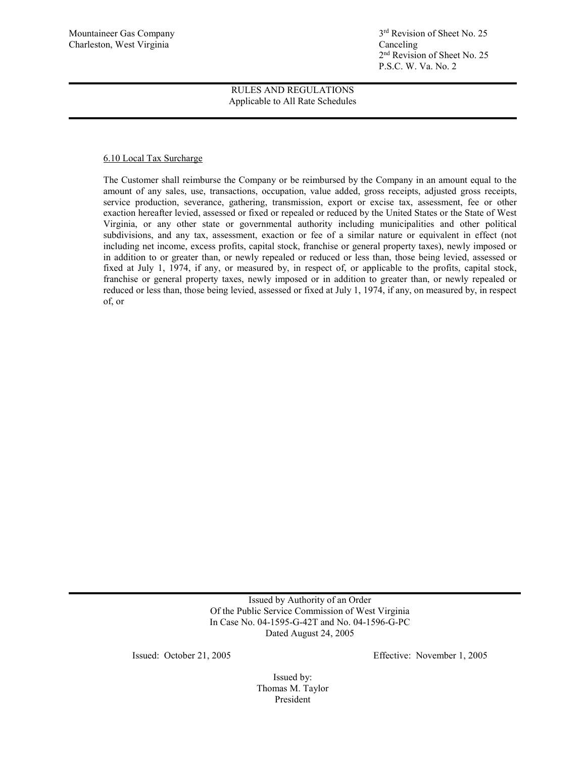Mountaineer Gas Company 3rd Revision of Sheet No. 25 2nd Revision of Sheet No. 25 P.S.C. W. Va. No. 2

> RULES AND REGULATIONS Applicable to All Rate Schedules

## 6.10 Local Tax Surcharge

The Customer shall reimburse the Company or be reimbursed by the Company in an amount equal to the amount of any sales, use, transactions, occupation, value added, gross receipts, adjusted gross receipts, service production, severance, gathering, transmission, export or excise tax, assessment, fee or other exaction hereafter levied, assessed or fixed or repealed or reduced by the United States or the State of West Virginia, or any other state or governmental authority including municipalities and other political subdivisions, and any tax, assessment, exaction or fee of a similar nature or equivalent in effect (not including net income, excess profits, capital stock, franchise or general property taxes), newly imposed or in addition to or greater than, or newly repealed or reduced or less than, those being levied, assessed or fixed at July 1, 1974, if any, or measured by, in respect of, or applicable to the profits, capital stock, franchise or general property taxes, newly imposed or in addition to greater than, or newly repealed or reduced or less than, those being levied, assessed or fixed at July 1, 1974, if any, on measured by, in respect of, or

> Issued by Authority of an Order Of the Public Service Commission of West Virginia In Case No. 04-1595-G-42T and No. 04-1596-G-PC Dated August 24, 2005

Issued: October 21, 2005 Effective: November 1, 2005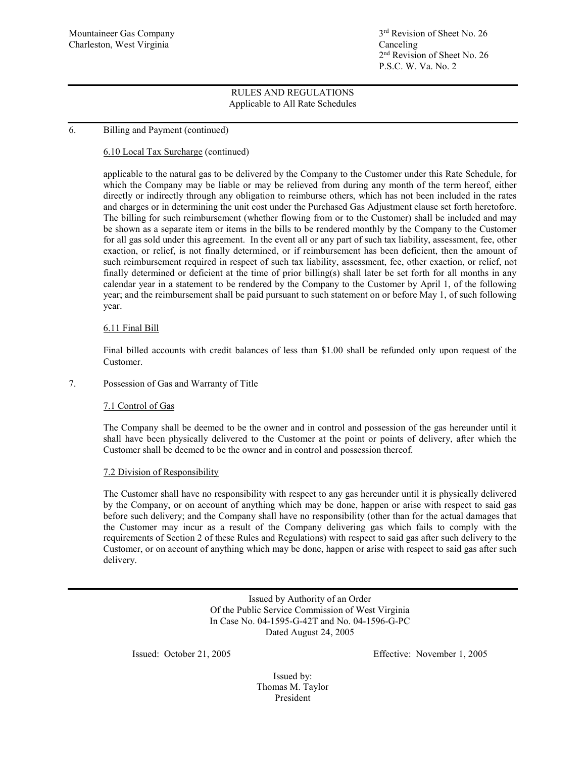# 6. Billing and Payment (continued)

# 6.10 Local Tax Surcharge (continued)

applicable to the natural gas to be delivered by the Company to the Customer under this Rate Schedule, for which the Company may be liable or may be relieved from during any month of the term hereof, either directly or indirectly through any obligation to reimburse others, which has not been included in the rates and charges or in determining the unit cost under the Purchased Gas Adjustment clause set forth heretofore. The billing for such reimbursement (whether flowing from or to the Customer) shall be included and may be shown as a separate item or items in the bills to be rendered monthly by the Company to the Customer for all gas sold under this agreement. In the event all or any part of such tax liability, assessment, fee, other exaction, or relief, is not finally determined, or if reimbursement has been deficient, then the amount of such reimbursement required in respect of such tax liability, assessment, fee, other exaction, or relief, not finally determined or deficient at the time of prior billing(s) shall later be set forth for all months in any calendar year in a statement to be rendered by the Company to the Customer by April 1, of the following year; and the reimbursement shall be paid pursuant to such statement on or before May 1, of such following year.

## 6.11 Final Bill

Final billed accounts with credit balances of less than \$1.00 shall be refunded only upon request of the Customer.

## 7. Possession of Gas and Warranty of Title

## 7.1 Control of Gas

The Company shall be deemed to be the owner and in control and possession of the gas hereunder until it shall have been physically delivered to the Customer at the point or points of delivery, after which the Customer shall be deemed to be the owner and in control and possession thereof.

## 7.2 Division of Responsibility

The Customer shall have no responsibility with respect to any gas hereunder until it is physically delivered by the Company, or on account of anything which may be done, happen or arise with respect to said gas before such delivery; and the Company shall have no responsibility (other than for the actual damages that the Customer may incur as a result of the Company delivering gas which fails to comply with the requirements of Section 2 of these Rules and Regulations) with respect to said gas after such delivery to the Customer, or on account of anything which may be done, happen or arise with respect to said gas after such delivery.

> Issued by Authority of an Order Of the Public Service Commission of West Virginia In Case No. 04-1595-G-42T and No. 04-1596-G-PC Dated August 24, 2005

Issued: October 21, 2005 Effective: November 1, 2005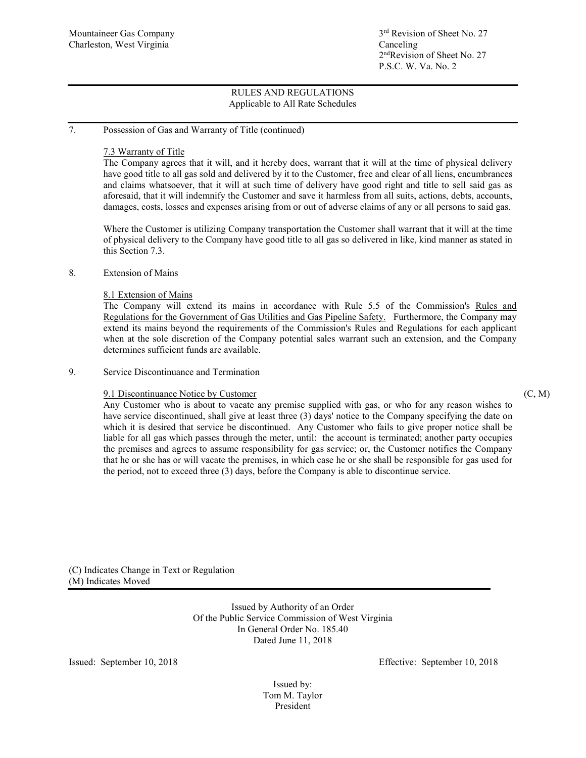## 7. Possession of Gas and Warranty of Title (continued)

## 7.3 Warranty of Title

The Company agrees that it will, and it hereby does, warrant that it will at the time of physical delivery have good title to all gas sold and delivered by it to the Customer, free and clear of all liens, encumbrances and claims whatsoever, that it will at such time of delivery have good right and title to sell said gas as aforesaid, that it will indemnify the Customer and save it harmless from all suits, actions, debts, accounts, damages, costs, losses and expenses arising from or out of adverse claims of any or all persons to said gas.

Where the Customer is utilizing Company transportation the Customer shall warrant that it will at the time of physical delivery to the Company have good title to all gas so delivered in like, kind manner as stated in this Section 7.3.

### 8. Extension of Mains

### 8.1 Extension of Mains

The Company will extend its mains in accordance with Rule 5.5 of the Commission's Rules and Regulations for the Government of Gas Utilities and Gas Pipeline Safety. Furthermore, the Company may extend its mains beyond the requirements of the Commission's Rules and Regulations for each applicant when at the sole discretion of the Company potential sales warrant such an extension, and the Company determines sufficient funds are available.

### 9. Service Discontinuance and Termination

### 9.1 Discontinuance Notice by Customer (C, M)

Any Customer who is about to vacate any premise supplied with gas, or who for any reason wishes to have service discontinued, shall give at least three (3) days' notice to the Company specifying the date on which it is desired that service be discontinued. Any Customer who fails to give proper notice shall be liable for all gas which passes through the meter, until: the account is terminated; another party occupies the premises and agrees to assume responsibility for gas service; or, the Customer notifies the Company that he or she has or will vacate the premises, in which case he or she shall be responsible for gas used for the period, not to exceed three (3) days, before the Company is able to discontinue service.

(C) Indicates Change in Text or Regulation (M) Indicates Moved

> Issued by Authority of an Order Of the Public Service Commission of West Virginia In General Order No. 185.40 Dated June 11, 2018

Issued: September 10, 2018 Effective: September 10, 2018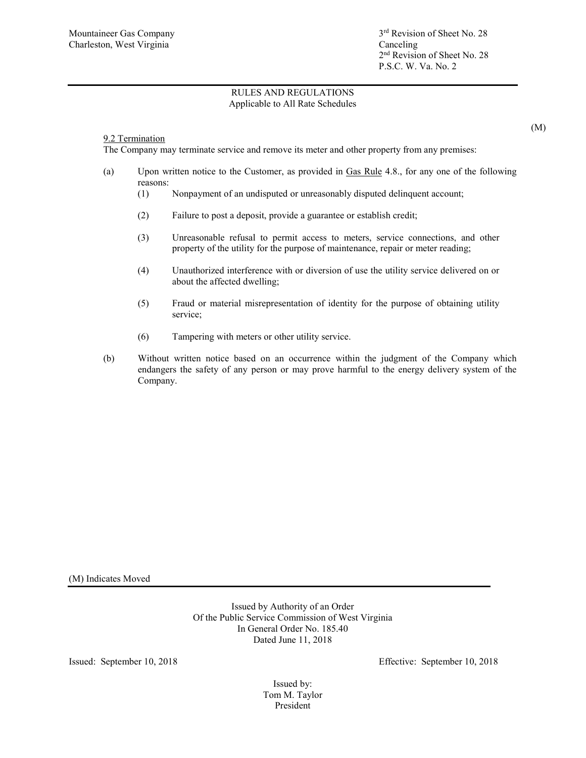## 9.2 Termination

The Company may terminate service and remove its meter and other property from any premises:

- (a) Upon written notice to the Customer, as provided in Gas Rule 4.8., for any one of the following reasons:
	- (1) Nonpayment of an undisputed or unreasonably disputed delinquent account;
	- (2) Failure to post a deposit, provide a guarantee or establish credit;
	- (3) Unreasonable refusal to permit access to meters, service connections, and other property of the utility for the purpose of maintenance, repair or meter reading;
	- (4) Unauthorized interference with or diversion of use the utility service delivered on or about the affected dwelling;
	- (5) Fraud or material misrepresentation of identity for the purpose of obtaining utility service;
	- (6) Tampering with meters or other utility service.
- (b) Without written notice based on an occurrence within the judgment of the Company which endangers the safety of any person or may prove harmful to the energy delivery system of the Company.

(M) Indicates Moved

Issued by Authority of an Order Of the Public Service Commission of West Virginia In General Order No. 185.40 Dated June 11, 2018

Issued: September 10, 2018 Effective: September 10, 2018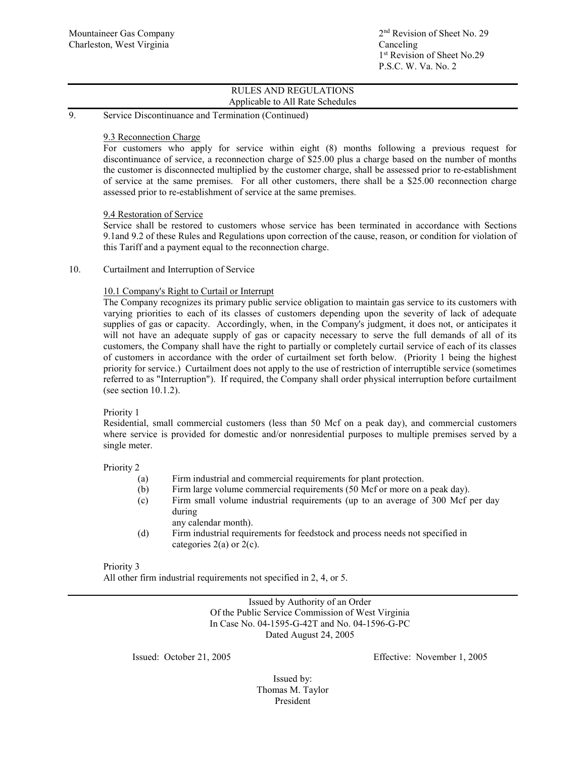### 9. Service Discontinuance and Termination (Continued)

### 9.3 Reconnection Charge

For customers who apply for service within eight (8) months following a previous request for discontinuance of service, a reconnection charge of \$25.00 plus a charge based on the number of months the customer is disconnected multiplied by the customer charge, shall be assessed prior to re-establishment of service at the same premises. For all other customers, there shall be a \$25.00 reconnection charge assessed prior to re-establishment of service at the same premises.

### 9.4 Restoration of Service

Service shall be restored to customers whose service has been terminated in accordance with Sections 9.1and 9.2 of these Rules and Regulations upon correction of the cause, reason, or condition for violation of this Tariff and a payment equal to the reconnection charge.

## 10. Curtailment and Interruption of Service

## 10.1 Company's Right to Curtail or Interrupt

The Company recognizes its primary public service obligation to maintain gas service to its customers with varying priorities to each of its classes of customers depending upon the severity of lack of adequate supplies of gas or capacity. Accordingly, when, in the Company's judgment, it does not, or anticipates it will not have an adequate supply of gas or capacity necessary to serve the full demands of all of its customers, the Company shall have the right to partially or completely curtail service of each of its classes of customers in accordance with the order of curtailment set forth below. (Priority 1 being the highest priority for service.) Curtailment does not apply to the use of restriction of interruptible service (sometimes referred to as "Interruption"). If required, the Company shall order physical interruption before curtailment (see section 10.1.2).

## Priority 1

Residential, small commercial customers (less than 50 Mcf on a peak day), and commercial customers where service is provided for domestic and/or nonresidential purposes to multiple premises served by a single meter.

Priority 2

- (a) Firm industrial and commercial requirements for plant protection.
- (b) Firm large volume commercial requirements (50 Mcf or more on a peak day).
- (c) Firm small volume industrial requirements (up to an average of 300 Mcf per day during
- any calendar month). (d) Firm industrial requirements for feedstock and process needs not specified in categories 2(a) or 2(c).

### Priority 3

All other firm industrial requirements not specified in 2, 4, or 5.

Issued by Authority of an Order Of the Public Service Commission of West Virginia In Case No. 04-1595-G-42T and No. 04-1596-G-PC Dated August 24, 2005

Issued: October 21, 2005 Effective: November 1, 2005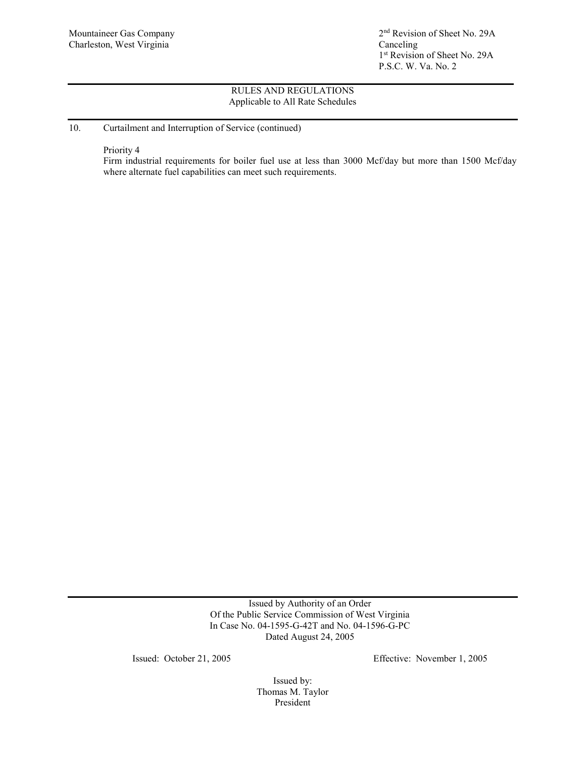Mountaineer Gas Company 2<sup>nd</sup> Revision of Sheet No. 29A 1<sup>st</sup> Revision of Sheet No. 29A P.S.C. W. Va. No. 2

## RULES AND REGULATIONS Applicable to All Rate Schedules

## 10. Curtailment and Interruption of Service (continued)

Priority 4

Firm industrial requirements for boiler fuel use at less than 3000 Mcf/day but more than 1500 Mcf/day where alternate fuel capabilities can meet such requirements.

> Issued by Authority of an Order Of the Public Service Commission of West Virginia In Case No. 04-1595-G-42T and No. 04-1596-G-PC Dated August 24, 2005

Issued: October 21, 2005 Effective: November 1, 2005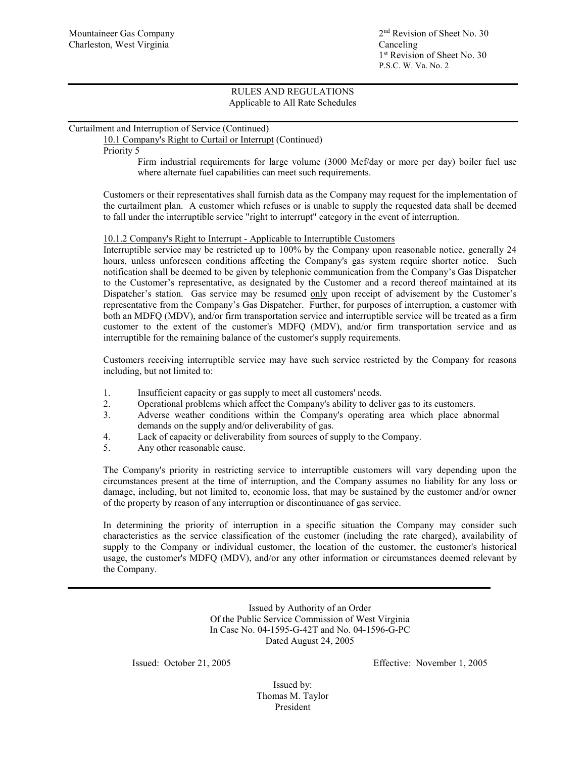## Curtailment and Interruption of Service (Continued)

10.1 Company's Right to Curtail or Interrupt (Continued)

Priority 5

Firm industrial requirements for large volume (3000 Mcf/day or more per day) boiler fuel use where alternate fuel capabilities can meet such requirements.

Customers or their representatives shall furnish data as the Company may request for the implementation of the curtailment plan. A customer which refuses or is unable to supply the requested data shall be deemed to fall under the interruptible service "right to interrupt" category in the event of interruption.

## 10.1.2 Company's Right to Interrupt - Applicable to Interruptible Customers

Interruptible service may be restricted up to 100% by the Company upon reasonable notice, generally 24 hours, unless unforeseen conditions affecting the Company's gas system require shorter notice. Such notification shall be deemed to be given by telephonic communication from the Company's Gas Dispatcher to the Customer's representative, as designated by the Customer and a record thereof maintained at its Dispatcher's station. Gas service may be resumed only upon receipt of advisement by the Customer's representative from the Company's Gas Dispatcher. Further, for purposes of interruption, a customer with both an MDFQ (MDV), and/or firm transportation service and interruptible service will be treated as a firm customer to the extent of the customer's MDFQ (MDV), and/or firm transportation service and as interruptible for the remaining balance of the customer's supply requirements.

Customers receiving interruptible service may have such service restricted by the Company for reasons including, but not limited to:

- 1. Insufficient capacity or gas supply to meet all customers' needs.
- 2. Operational problems which affect the Company's ability to deliver gas to its customers.
- 3. Adverse weather conditions within the Company's operating area which place abnormal demands on the supply and/or deliverability of gas.
- 4. Lack of capacity or deliverability from sources of supply to the Company.
- 5. Any other reasonable cause.

The Company's priority in restricting service to interruptible customers will vary depending upon the circumstances present at the time of interruption, and the Company assumes no liability for any loss or damage, including, but not limited to, economic loss, that may be sustained by the customer and/or owner of the property by reason of any interruption or discontinuance of gas service.

In determining the priority of interruption in a specific situation the Company may consider such characteristics as the service classification of the customer (including the rate charged), availability of supply to the Company or individual customer, the location of the customer, the customer's historical usage, the customer's MDFQ (MDV), and/or any other information or circumstances deemed relevant by the Company.

> Issued by Authority of an Order Of the Public Service Commission of West Virginia In Case No. 04-1595-G-42T and No. 04-1596-G-PC Dated August 24, 2005

Issued: October 21, 2005 Effective: November 1, 2005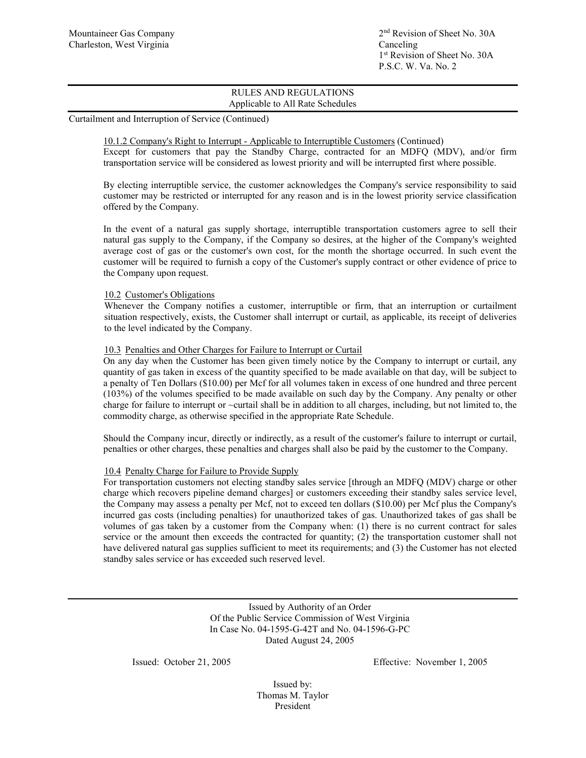Curtailment and Interruption of Service (Continued)

10.1.2 Company's Right to Interrupt - Applicable to Interruptible Customers (Continued) Except for customers that pay the Standby Charge, contracted for an MDFQ (MDV), and/or firm transportation service will be considered as lowest priority and will be interrupted first where possible.

By electing interruptible service, the customer acknowledges the Company's service responsibility to said customer may be restricted or interrupted for any reason and is in the lowest priority service classification offered by the Company.

In the event of a natural gas supply shortage, interruptible transportation customers agree to sell their natural gas supply to the Company, if the Company so desires, at the higher of the Company's weighted average cost of gas or the customer's own cost, for the month the shortage occurred. In such event the customer will be required to furnish a copy of the Customer's supply contract or other evidence of price to the Company upon request.

## 10.2 Customer's Obligations

Whenever the Company notifies a customer, interruptible or firm, that an interruption or curtailment situation respectively, exists, the Customer shall interrupt or curtail, as applicable, its receipt of deliveries to the level indicated by the Company.

## 10.3 Penalties and Other Charges for Failure to Interrupt or Curtail

On any day when the Customer has been given timely notice by the Company to interrupt or curtail, any quantity of gas taken in excess of the quantity specified to be made available on that day, will be subject to a penalty of Ten Dollars (\$10.00) per Mcf for all volumes taken in excess of one hundred and three percent (103%) of the volumes specified to be made available on such day by the Company. Any penalty or other charge for failure to interrupt or ~curtail shall be in addition to all charges, including, but not limited to, the commodity charge, as otherwise specified in the appropriate Rate Schedule.

Should the Company incur, directly or indirectly, as a result of the customer's failure to interrupt or curtail, penalties or other charges, these penalties and charges shall also be paid by the customer to the Company.

### 10.4 Penalty Charge for Failure to Provide Supply

For transportation customers not electing standby sales service [through an MDFQ (MDV) charge or other charge which recovers pipeline demand charges] or customers exceeding their standby sales service level, the Company may assess a penalty per Mcf, not to exceed ten dollars (\$10.00) per Mcf plus the Company's incurred gas costs (including penalties) for unauthorized takes of gas. Unauthorized takes of gas shall be volumes of gas taken by a customer from the Company when: (1) there is no current contract for sales service or the amount then exceeds the contracted for quantity; (2) the transportation customer shall not have delivered natural gas supplies sufficient to meet its requirements; and (3) the Customer has not elected standby sales service or has exceeded such reserved level.

> Issued by Authority of an Order Of the Public Service Commission of West Virginia In Case No. 04-1595-G-42T and No. 04-1596-G-PC Dated August 24, 2005

Issued: October 21, 2005 Effective: November 1, 2005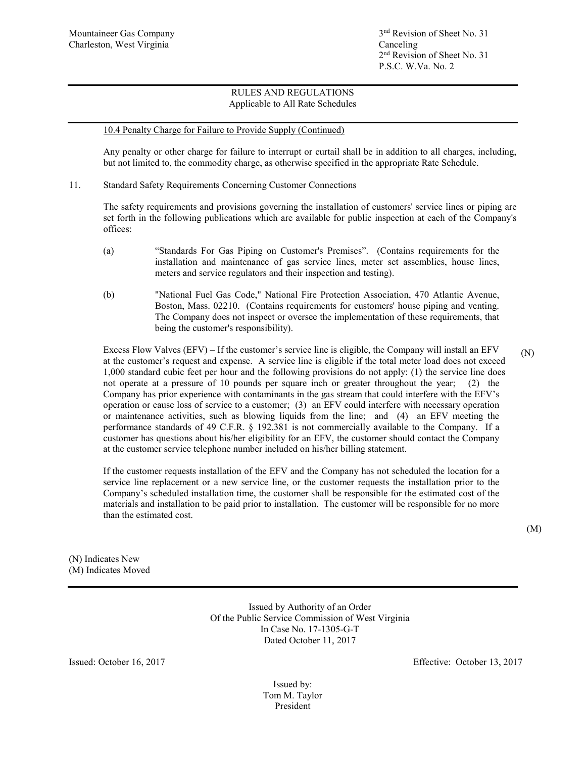Mountaineer Gas Company  $3<sup>nd</sup>$  Revision of Sheet No. 31 2nd Revision of Sheet No. 31 P.S.C. W.Va. No. 2

# RULES AND REGULATIONS Applicable to All Rate Schedules

### 10.4 Penalty Charge for Failure to Provide Supply (Continued)

Any penalty or other charge for failure to interrupt or curtail shall be in addition to all charges, including, but not limited to, the commodity charge, as otherwise specified in the appropriate Rate Schedule.

11. Standard Safety Requirements Concerning Customer Connections

The safety requirements and provisions governing the installation of customers' service lines or piping are set forth in the following publications which are available for public inspection at each of the Company's offices:

- (a) "Standards For Gas Piping on Customer's Premises". (Contains requirements for the installation and maintenance of gas service lines, meter set assemblies, house lines, meters and service regulators and their inspection and testing).
- (b) "National Fuel Gas Code," National Fire Protection Association, 470 Atlantic Avenue, Boston, Mass. 02210. (Contains requirements for customers' house piping and venting. The Company does not inspect or oversee the implementation of these requirements, that being the customer's responsibility).

Excess Flow Valves (EFV) – If the customer's service line is eligible, the Company will install an EFV at the customer's request and expense. A service line is eligible if the total meter load does not exceed 1,000 standard cubic feet per hour and the following provisions do not apply: (1) the service line does not operate at a pressure of 10 pounds per square inch or greater throughout the year; (2) the Company has prior experience with contaminants in the gas stream that could interfere with the EFV's operation or cause loss of service to a customer; (3) an EFV could interfere with necessary operation or maintenance activities, such as blowing liquids from the line; and (4) an EFV meeting the performance standards of 49 C.F.R. § 192.381 is not commercially available to the Company. If a customer has questions about his/her eligibility for an EFV, the customer should contact the Company at the customer service telephone number included on his/her billing statement. (N)

If the customer requests installation of the EFV and the Company has not scheduled the location for a service line replacement or a new service line, or the customer requests the installation prior to the Company's scheduled installation time, the customer shall be responsible for the estimated cost of the materials and installation to be paid prior to installation. The customer will be responsible for no more than the estimated cost.

(M)

(N) Indicates New (M) Indicates Moved

> Issued by Authority of an Order Of the Public Service Commission of West Virginia In Case No. 17-1305-G-T Dated October 11, 2017

Issued: October 16, 2017 Effective: October 13, 2017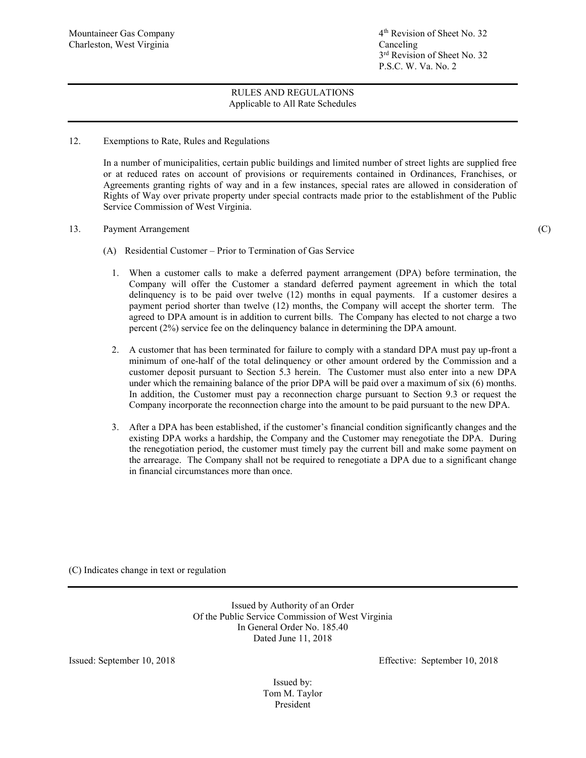Mountaineer Gas Company 1988 and 1997 and 1998 and 1998 and 1998 and 1998 and 1998 and 1998 and 1998 and 1998 and 1998 and 1998 and 1998 and 1998 and 1999 and 1999 and 1999 and 1999 and 1999 and 1999 and 1999 and 1999 and 3rd Revision of Sheet No. 32 P.S.C. W. Va. No. 2

## RULES AND REGULATIONS Applicable to All Rate Schedules

12. Exemptions to Rate, Rules and Regulations

In a number of municipalities, certain public buildings and limited number of street lights are supplied free or at reduced rates on account of provisions or requirements contained in Ordinances, Franchises, or Agreements granting rights of way and in a few instances, special rates are allowed in consideration of Rights of Way over private property under special contracts made prior to the establishment of the Public Service Commission of West Virginia.

13. Payment Arrangement (C)

- (A) Residential Customer Prior to Termination of Gas Service
	- 1. When a customer calls to make a deferred payment arrangement (DPA) before termination, the Company will offer the Customer a standard deferred payment agreement in which the total delinquency is to be paid over twelve (12) months in equal payments. If a customer desires a payment period shorter than twelve (12) months, the Company will accept the shorter term. The agreed to DPA amount is in addition to current bills. The Company has elected to not charge a two percent (2%) service fee on the delinquency balance in determining the DPA amount.
	- 2. A customer that has been terminated for failure to comply with a standard DPA must pay up-front a minimum of one-half of the total delinquency or other amount ordered by the Commission and a customer deposit pursuant to Section 5.3 herein. The Customer must also enter into a new DPA under which the remaining balance of the prior DPA will be paid over a maximum of six (6) months. In addition, the Customer must pay a reconnection charge pursuant to Section 9.3 or request the Company incorporate the reconnection charge into the amount to be paid pursuant to the new DPA.
	- 3. After a DPA has been established, if the customer's financial condition significantly changes and the existing DPA works a hardship, the Company and the Customer may renegotiate the DPA. During the renegotiation period, the customer must timely pay the current bill and make some payment on the arrearage. The Company shall not be required to renegotiate a DPA due to a significant change in financial circumstances more than once.

(C) Indicates change in text or regulation

Issued by Authority of an Order Of the Public Service Commission of West Virginia In General Order No. 185.40 Dated June 11, 2018

Issued: September 10, 2018 Effective: September 10, 2018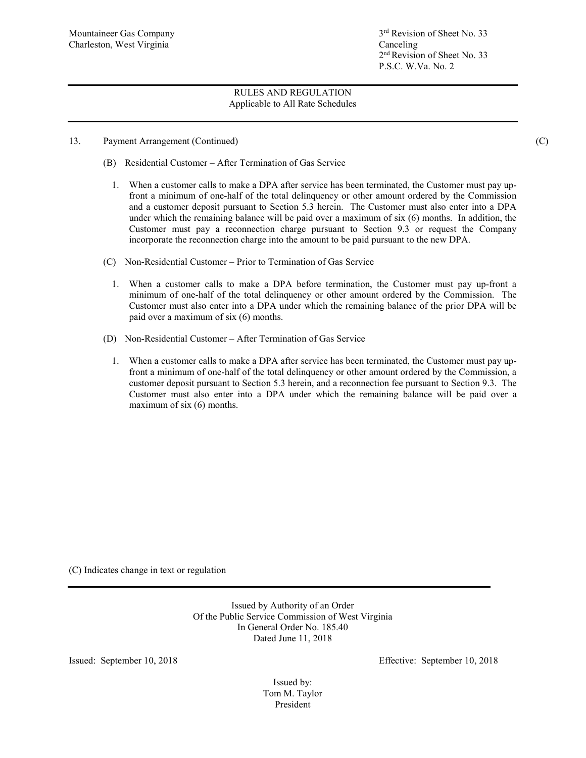- 13. Payment Arrangement (Continued) (C)
	- (B) Residential Customer After Termination of Gas Service
		- 1. When a customer calls to make a DPA after service has been terminated, the Customer must pay upfront a minimum of one-half of the total delinquency or other amount ordered by the Commission and a customer deposit pursuant to Section 5.3 herein. The Customer must also enter into a DPA under which the remaining balance will be paid over a maximum of six (6) months. In addition, the Customer must pay a reconnection charge pursuant to Section 9.3 or request the Company incorporate the reconnection charge into the amount to be paid pursuant to the new DPA.
	- (C) Non-Residential Customer Prior to Termination of Gas Service
		- 1. When a customer calls to make a DPA before termination, the Customer must pay up-front a minimum of one-half of the total delinquency or other amount ordered by the Commission. The Customer must also enter into a DPA under which the remaining balance of the prior DPA will be paid over a maximum of six (6) months.
	- (D) Non-Residential Customer After Termination of Gas Service
		- 1. When a customer calls to make a DPA after service has been terminated, the Customer must pay upfront a minimum of one-half of the total delinquency or other amount ordered by the Commission, a customer deposit pursuant to Section 5.3 herein, and a reconnection fee pursuant to Section 9.3. The Customer must also enter into a DPA under which the remaining balance will be paid over a maximum of six (6) months.

(C) Indicates change in text or regulation

Issued by Authority of an Order Of the Public Service Commission of West Virginia In General Order No. 185.40 Dated June 11, 2018

Issued: September 10, 2018 Effective: September 10, 2018